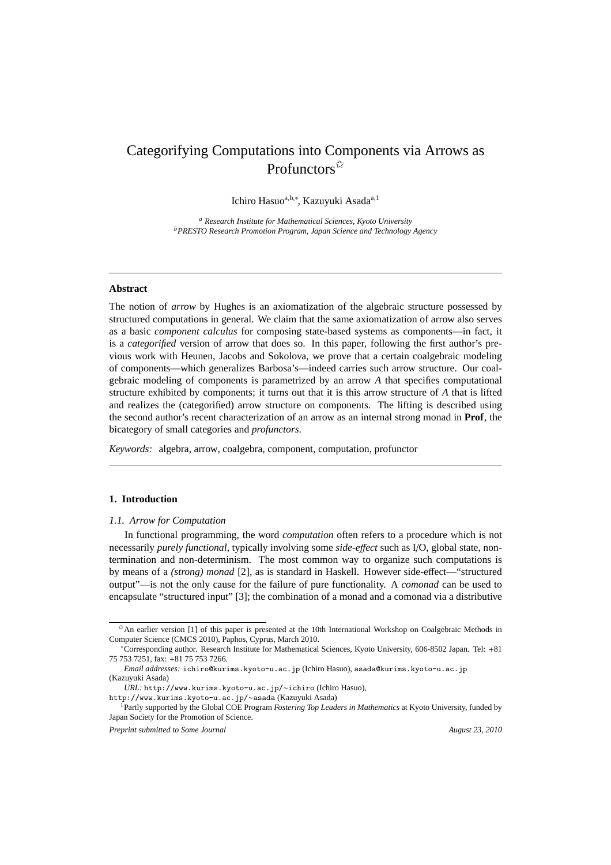# Categorifying Computations into Components via Arrows as Profunctors $\vec{x}$

Ichiro Hasuo<sup>a,b,∗</sup>, Kazuyuki Asada<sup>a,1</sup>

*<sup>a</sup> Research Institute for Mathematical Sciences, Kyoto University <sup>b</sup>PRESTO Research Promotion Program, Japan Science and Technology Agency*

# **Abstract**

The notion of *arrow* by Hughes is an axiomatization of the algebraic structure possessed by structured computations in general. We claim that the same axiomatization of arrow also serves as a basic *component calculus* for composing state-based systems as components—in fact, it is a *categorified* version of arrow that does so. In this paper, following the first author's previous work with Heunen, Jacobs and Sokolova, we prove that a certain coalgebraic modeling of components—which generalizes Barbosa's—indeed carries such arrow structure. Our coalgebraic modeling of components is parametrized by an arrow *A* that specifies computational structure exhibited by components; it turns out that it is this arrow structure of *A* that is lifted and realizes the (categorified) arrow structure on components. The lifting is described using the second author's recent characterization of an arrow as an internal strong monad in **Prof**, the bicategory of small categories and *profunctors*.

*Keywords:* algebra, arrow, coalgebra, component, computation, profunctor

# **1. Introduction**

### *1.1. Arrow for Computation*

In functional programming, the word *computation* often refers to a procedure which is not necessarily *purely functional*, typically involving some *side-e*ff*ect* such as I/O, global state, nontermination and non-determinism. The most common way to organize such computations is by means of a *(strong) monad* [2], as is standard in Haskell. However side-effect—"structured output"—is not the only cause for the failure of pure functionality. A *comonad* can be used to encapsulate "structured input" [3]; the combination of a monad and a comonad via a distributive

 $\hat{\sigma}$ An earlier version [1] of this paper is presented at the 10th International Workshop on Coalgebraic Methods in Computer Science (CMCS 2010), Paphos, Cyprus, March 2010.

<sup>∗</sup>Corresponding author. Research Institute for Mathematical Sciences, Kyoto University, 606-8502 Japan. Tel: +81 75 753 7251, fax: +81 75 753 7266.

*Email addresses:* ichiro@kurims.kyoto-u.ac.jp (Ichiro Hasuo), asada@kurims.kyoto-u.ac.jp (Kazuyuki Asada)

*URL:* http://www.kurims.kyoto-u.ac.jp/∼ichiro (Ichiro Hasuo), http://www.kurims.kyoto-u.ac.jp/∼asada (Kazuyuki Asada)

<sup>&</sup>lt;sup>1</sup>Partly supported by the Global COE Program *Fostering Top Leaders in Mathematics* at Kyoto University, funded by

Japan Society for the Promotion of Science. *Preprint submitted to Some Journal August 23, 2010 August 23, 2010*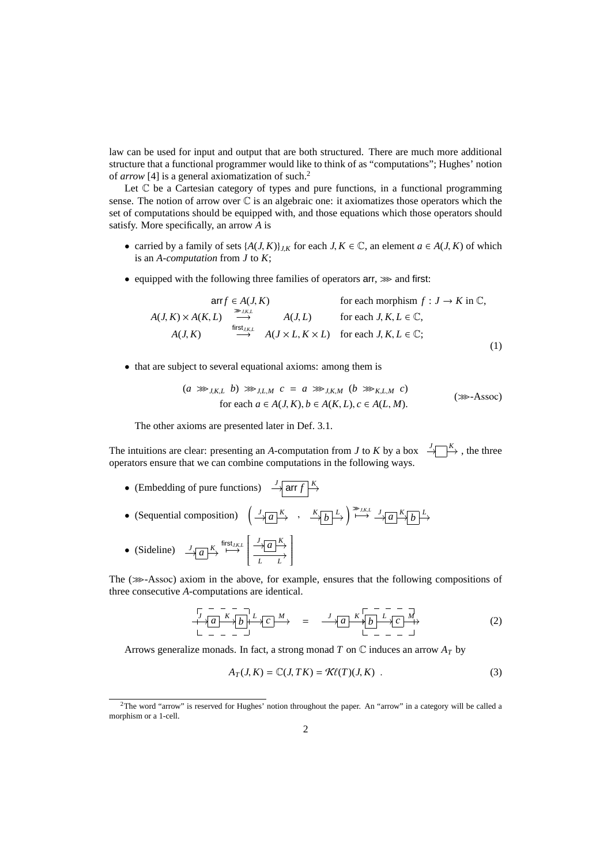law can be used for input and output that are both structured. There are much more additional structure that a functional programmer would like to think of as "computations"; Hughes' notion of *arrow* [4] is a general axiomatization of such.<sup>2</sup>

Let  $\mathbb C$  be a Cartesian category of types and pure functions, in a functional programming sense. The notion of arrow over  $\mathbb C$  is an algebraic one: it axiomatizes those operators which the set of computations should be equipped with, and those equations which those operators should satisfy. More specifically, an arrow *A* is

- carried by a family of sets  $\{A(J, K)\}_{J,K}$  for each  $J, K \in \mathbb{C}$ , an element  $a \in A(J, K)$  of which is an *A-computation* from *J* to *K*;
- equipped with the following three families of operators  $arr$ ,  $\gg$  and first:

$$
\text{arr } f \in A(J, K) \quad \text{for each morphism } f : J \to K \text{ in } \mathbb{C},
$$
\n
$$
A(J, K) \times A(K, L) \xrightarrow{\text{first } J, K, L} A(J, L) \quad \text{for each } J, K, L \in \mathbb{C},
$$
\n
$$
A(J, K) \xrightarrow{\text{first } J, K, L} A(J \times L, K \times L) \quad \text{for each } J, K, L \in \mathbb{C};
$$
\n
$$
(1)
$$

• that are subject to several equational axioms: among them is

$$
(a \ggg_{J,K,L} b) \ggg_{J,L,M} c = a \ggg_{J,K,M} (b \ggg_{K,L,M} c)
$$
  
for each  $a \in A(J,K), b \in A(K,L), c \in A(L,M)$ . (36-40).

The other axioms are presented later in Def. 3.1.

The intuitions are clear: presenting an *A*-computation from *J* to *K* by a box  $\rightarrow$   $\rightarrow$   $\rightarrow$  , the three operators ensure that we can combine computations in the following ways.

- (Embedding of pure functions)  $\rightarrow \frac{J}{\text{arr } f}$
- (Sequential composition)  $\left(\frac{J}{\mathcal{A}}\frac{K}{a}\right)$  ,  $\frac{K}{\mathcal{A}}\frac{L}{b}\right) \stackrel{m}{\mapsto} \frac{J}{\mathcal{A}}\frac{K}{a}\frac{K}{b}\frac{L}{c}$
- (Sideline)  $\longrightarrow a \longrightarrow K$  first<sub>*J,K,L*</sub>  $\frac{J}{\rightarrow a}$  $\overline{\mathsf{l}}$ *L L* 1  $\overline{\phantom{a}}$

The  $(\gg$ -Assoc) axiom in the above, for example, ensures that the following compositions of three consecutive *A*-computations are identical.

$$
\frac{1}{\sqrt{a}} \frac{1}{\sqrt{b}} \frac{1}{\sqrt{b}} \frac{1}{\sqrt{c}} \frac{1}{\sqrt{c}} \longrightarrow = \frac{1}{\sqrt{a}} \frac{1}{\sqrt{a}} \frac{1}{\sqrt{b}} \frac{1}{\sqrt{c}} \frac{1}{\sqrt{c}} \longrightarrow \tag{2}
$$

Arrows generalize monads. In fact, a strong monad *T* on C induces an arrow *A<sup>T</sup>* by

$$
A_T(J, K) = \mathbb{C}(J, TK) = \mathcal{K}\ell(T)(J, K) . \tag{3}
$$

<sup>2</sup>The word "arrow" is reserved for Hughes' notion throughout the paper. An "arrow" in a category will be called a morphism or a 1-cell.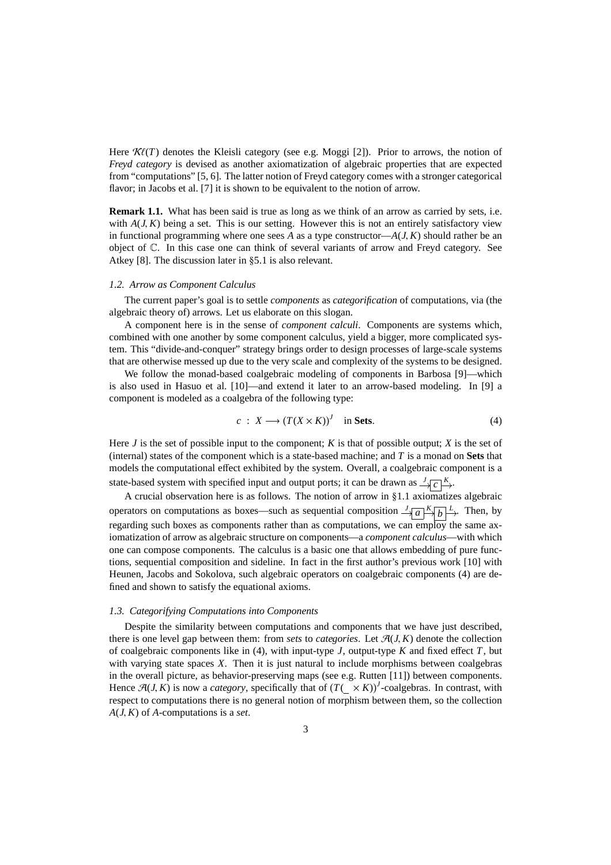Here  $\mathcal{K}\ell(T)$  denotes the Kleisli category (see e.g. Moggi [2]). Prior to arrows, the notion of *Freyd category* is devised as another axiomatization of algebraic properties that are expected from "computations" [5, 6]. The latter notion of Freyd category comes with a stronger categorical flavor; in Jacobs et al. [7] it is shown to be equivalent to the notion of arrow.

**Remark 1.1.** What has been said is true as long as we think of an arrow as carried by sets, i.e. with  $A(J, K)$  being a set. This is our setting. However this is not an entirely satisfactory view in functional programming where one sees A as a type constructor— $A(J, K)$  should rather be an object of C. In this case one can think of several variants of arrow and Freyd category. See Atkey [8]. The discussion later in §5.1 is also relevant.

# *1.2. Arrow as Component Calculus*

The current paper's goal is to settle *components* as *categorification* of computations, via (the algebraic theory of) arrows. Let us elaborate on this slogan.

A component here is in the sense of *component calculi*. Components are systems which, combined with one another by some component calculus, yield a bigger, more complicated system. This "divide-and-conquer" strategy brings order to design processes of large-scale systems that are otherwise messed up due to the very scale and complexity of the systems to be designed.

We follow the monad-based coalgebraic modeling of components in Barbosa [9]—which is also used in Hasuo et al. [10]—and extend it later to an arrow-based modeling. In [9] a component is modeled as a coalgebra of the following type:

$$
c: X \longrightarrow (T(X \times K))^{J} \quad \text{in Sets.} \tag{4}
$$

Here *J* is the set of possible input to the component; *K* is that of possible output; *X* is the set of (internal) states of the component which is a state-based machine; and *T* is a monad on **Sets** that models the computational effect exhibited by the system. Overall, a coalgebraic component is a state-based system with specified input and output ports; it can be drawn as  $\frac{J}{\sqrt{c}} \frac{K}{r}$ .

A crucial observation here is as follows. The notion of arrow in §1.1 axiomatizes algebraic operators on computations as boxes—such as sequential composition  $\frac{J}{\sqrt{a}}\left|\frac{K}{b}\right|\xrightarrow{L}$ . Then, by regarding such boxes as components rather than as computations, we can employ the same axiomatization of arrow as algebraic structure on components—a *component calculus*—with which one can compose components. The calculus is a basic one that allows embedding of pure functions, sequential composition and sideline. In fact in the first author's previous work [10] with Heunen, Jacobs and Sokolova, such algebraic operators on coalgebraic components (4) are defined and shown to satisfy the equational axioms.

## *1.3. Categorifying Computations into Components*

Despite the similarity between computations and components that we have just described, there is one level gap between them: from *sets* to *categories*. Let  $\mathcal{A}(J, K)$  denote the collection of coalgebraic components like in (4), with input-type *J*, output-type *K* and fixed effect *T*, but with varying state spaces *X*. Then it is just natural to include morphisms between coalgebras in the overall picture, as behavior-preserving maps (see e.g. Rutten [11]) between components. Hence  $\mathcal{A}(J,K)$  is now a *category*, specifically that of  $(T(\times K))$ <sup>*I*</sup>-coalgebras. In contrast, with respect to computations there is no general notion of morphism between them, so the collection *A*(*J*, *K*) of *A*-computations is a *set*.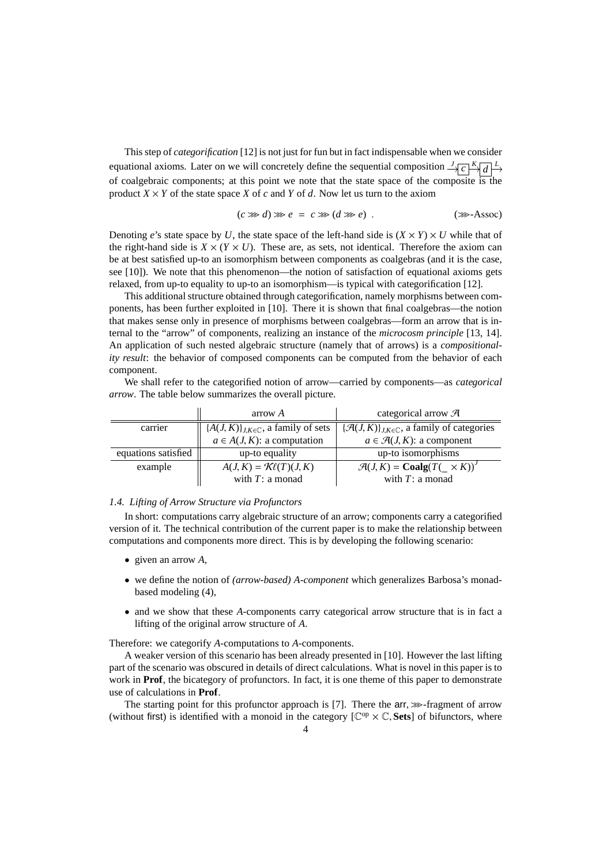This step of *categorification* [12] is not just for fun but in fact indispensable when we consider equational axioms. Later on we will concretely define the sequential composition  $\frac{J}{\sqrt{c}}\left|\frac{K}{d}\right|^{L}$ of coalgebraic components; at this point we note that the state space of the composite is the product  $X \times Y$  of the state space X of c and Y of d. Now let us turn to the axiom

$$
(c \ggg d) \ggg e = c \ggg (d \ggg e) . \tag{32-Assoc}
$$

Denoting *e*'s state space by *U*, the state space of the left-hand side is  $(X \times Y) \times U$  while that of the right-hand side is  $X \times (Y \times U)$ . These are, as sets, not identical. Therefore the axiom can be at best satisfied up-to an isomorphism between components as coalgebras (and it is the case, see [10]). We note that this phenomenon—the notion of satisfaction of equational axioms gets relaxed, from up-to equality to up-to an isomorphism—is typical with categorification [12].

This additional structure obtained through categorification, namely morphisms between components, has been further exploited in [10]. There it is shown that final coalgebras—the notion that makes sense only in presence of morphisms between coalgebras—form an arrow that is internal to the "arrow" of components, realizing an instance of the *microcosm principle* [13, 14]. An application of such nested algebraic structure (namely that of arrows) is a *compositionality result*: the behavior of composed components can be computed from the behavior of each component.

We shall refer to the categorified notion of arrow—carried by components—as *categorical arrow*. The table below summarizes the overall picture.

|                     | arrow A                                          | categorical arrow $\mathcal{A}$                                    |  |
|---------------------|--------------------------------------------------|--------------------------------------------------------------------|--|
| carrier             | ${A(J,K)}_{J,K\in\mathbb{C}}$ , a family of sets | $\{\mathcal{A}(J,K)\}_{J,K\in\mathbb{C}}$ , a family of categories |  |
|                     | $a \in A(J, K)$ : a computation                  | $a \in \mathcal{A}(J,K)$ : a component                             |  |
| equations satisfied | up-to equality                                   | up-to isomorphisms                                                 |  |
| example             | $A(J, K) = \mathcal{K}\ell(T)(J, K)$             | $\mathcal{A}(J,K) = \text{Coalg}(T(\times K))$                     |  |
|                     | with $T$ : a monad                               | with $T: a$ monad                                                  |  |

# *1.4. Lifting of Arrow Structure via Profunctors*

In short: computations carry algebraic structure of an arrow; components carry a categorified version of it. The technical contribution of the current paper is to make the relationship between computations and components more direct. This is by developing the following scenario:

- given an arrow *A*,
- we define the notion of *(arrow-based) A-component* which generalizes Barbosa's monadbased modeling (4),
- and we show that these *A*-components carry categorical arrow structure that is in fact a lifting of the original arrow structure of *A*.

Therefore: we categorify *A*-computations to *A*-components.

A weaker version of this scenario has been already presented in [10]. However the last lifting part of the scenario was obscured in details of direct calculations. What is novel in this paper is to work in **Prof**, the bicategory of profunctors. In fact, it is one theme of this paper to demonstrate use of calculations in **Prof**.

The starting point for this profunctor approach is [7]. There the  $\arccos$ -fragment of arrow (without first) is identified with a monoid in the category  $[\mathbb{C}^{op} \times \mathbb{C}, \mathbf{Sets}]$  of bifunctors, where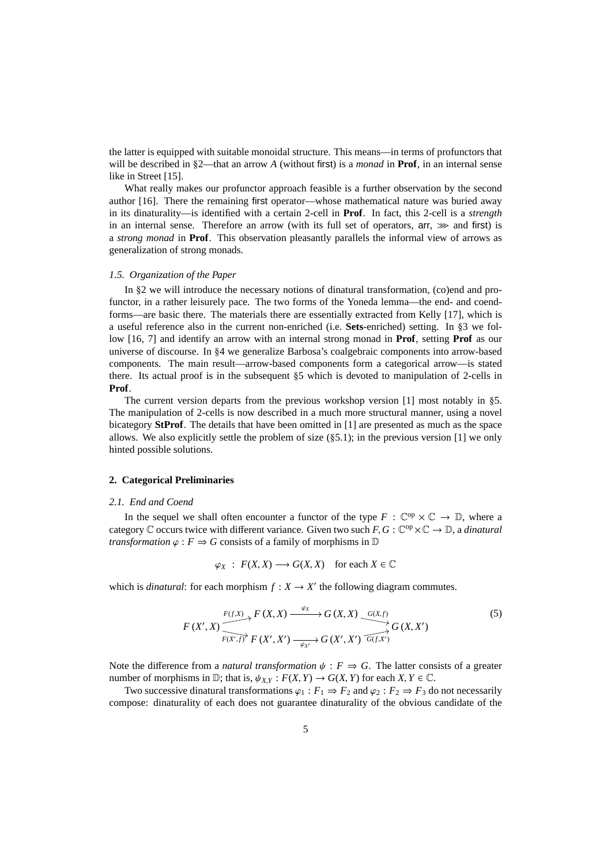the latter is equipped with suitable monoidal structure. This means—in terms of profunctors that will be described in §2—that an arrow *A* (without first) is a *monad* in **Prof**, in an internal sense like in Street [15].

What really makes our profunctor approach feasible is a further observation by the second author [16]. There the remaining first operator—whose mathematical nature was buried away in its dinaturality—is identified with a certain 2-cell in **Prof**. In fact, this 2-cell is a *strength* in an internal sense. Therefore an arrow (with its full set of operators,  $\text{arr}, \gg$  and first) is a *strong monad* in **Prof**. This observation pleasantly parallels the informal view of arrows as generalization of strong monads.

# *1.5. Organization of the Paper*

In §2 we will introduce the necessary notions of dinatural transformation, (co)end and profunctor, in a rather leisurely pace. The two forms of the Yoneda lemma—the end- and coendforms—are basic there. The materials there are essentially extracted from Kelly [17], which is a useful reference also in the current non-enriched (i.e. **Sets**-enriched) setting. In §3 we follow [16, 7] and identify an arrow with an internal strong monad in **Prof**, setting **Prof** as our universe of discourse. In §4 we generalize Barbosa's coalgebraic components into arrow-based components. The main result—arrow-based components form a categorical arrow—is stated there. Its actual proof is in the subsequent §5 which is devoted to manipulation of 2-cells in **Prof**.

The current version departs from the previous workshop version [1] most notably in §5. The manipulation of 2-cells is now described in a much more structural manner, using a novel bicategory **StProf**. The details that have been omitted in [1] are presented as much as the space allows. We also explicitly settle the problem of size  $(\S 5.1)$ ; in the previous version [1] we only hinted possible solutions.

#### **2. Categorical Preliminaries**

#### *2.1. End and Coend*

In the sequel we shall often encounter a functor of the type  $F : \mathbb{C}^{op} \times \mathbb{C} \to \mathbb{D}$ , where a category  $\mathbb C$  occurs twice with different variance. Given two such  $F, G: \mathbb C^{op} \times \mathbb C \to \mathbb D$ , a *dinatural transformation*  $\varphi$  :  $F \Rightarrow G$  consists of a family of morphisms in  $D$ 

$$
\varphi_X : F(X, X) \longrightarrow G(X, X) \quad \text{for each } X \in \mathbb{C}
$$

which is *dinatural*: for each morphism  $f: X \to X'$  the following diagram commutes.

$$
F(X', X) \xrightarrow{F(f,X)} F(X, X) \xrightarrow{\varphi_X} G(X, X) \xrightarrow{G(X, f)} G(X, X')
$$
(5)  

$$
F(X', X) \xrightarrow{F(X', f)} F(X', X') \xrightarrow{\varphi_X} G(X', X') \xrightarrow{G(f,X')}
$$

Note the difference from a *natural transformation*  $\psi$  :  $F \Rightarrow G$ . The latter consists of a greater number of morphisms in  $\mathbb{D}$ ; that is,  $\psi_{X,Y} : F(X,Y) \to G(X,Y)$  for each  $X, Y \in \mathbb{C}$ .

Two successive dinatural transformations  $\varphi_1 : F_1 \Rightarrow F_2$  and  $\varphi_2 : F_2 \Rightarrow F_3$  do not necessarily compose: dinaturality of each does not guarantee dinaturality of the obvious candidate of the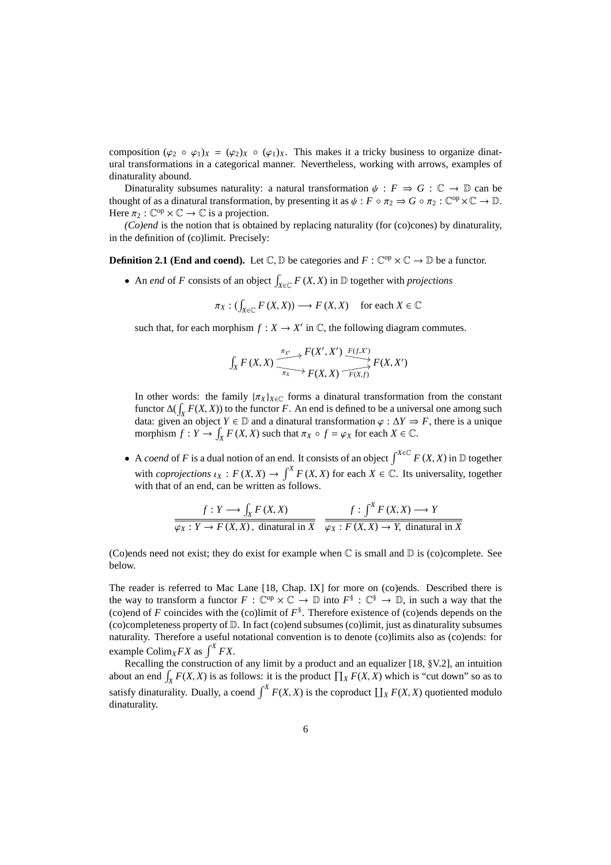composition  $(\varphi_2 \circ \varphi_1)_X = (\varphi_2)_X \circ (\varphi_1)_X$ . This makes it a tricky business to organize dinatural transformations in a categorical manner. Nevertheless, working with arrows, examples of dinaturality abound.

Dinaturality subsumes naturality: a natural transformation  $\psi : F \Rightarrow G : \mathbb{C} \to \mathbb{D}$  can be thought of as a dinatural transformation, by presenting it as  $\psi : F \circ \pi_2 \Rightarrow G \circ \pi_2 : \mathbb{C}^{\text{op}} \times \mathbb{C} \to \mathbb{D}$ . Here  $\pi_2 : \mathbb{C}^{op} \times \mathbb{C} \to \mathbb{C}$  is a projection.

*(Co)end* is the notion that is obtained by replacing naturality (for (co)cones) by dinaturality, in the definition of (co)limit. Precisely:

**Definition 2.1 (End and coend).** Let  $\mathbb{C}, \mathbb{D}$  be categories and  $F : \mathbb{C}^{op} \times \mathbb{C} \to \mathbb{D}$  be a functor.

• An *end* of *F* consists of an object  $\int_{X \in \mathbb{C}} F(X, X)$  in  $\mathbb{D}$  together with *projections* 

$$
\pi_X: (\int_{X \in \mathbb{C}} F(X, X)) \longrightarrow F(X, X) \quad \text{for each } X \in \mathbb{C}
$$

such that, for each morphism  $f: X \to X'$  in  $\mathbb{C}$ , the following diagram commutes.

$$
\int_X F(X,X) \xrightarrow{\pi_{X'}} F(X',X') \xrightarrow{F(f,X')} F(X,X')
$$

In other words: the family  $\{\pi_X\}_{X \in \mathbb{C}}$  forms a dinatural transformation from the constant functor  $\Delta(\int_X F(X, X))$  to the functor *F*. An end is defined to be a universal one among such data: given an object  $Y \in \mathbb{D}$  and a dinatural transformation  $\varphi : \Delta Y \Rightarrow F$ , there is a unique morphism  $f: Y \to \int_X F(X, X)$  such that  $\pi_X \circ f = \varphi_X$  for each  $X \in \mathbb{C}$ .

• A *coend* of *F* is a dual notion of an end. It consists of an object  $\int^{X \in \mathbb{C}} F(X, X)$  in D together with *coprojections*  $\iota_X : F(X,X) \to \int^X F(X,X)$  for each  $X \in \mathbb{C}$ . Its universality, together with that of an end, can be written as follows.

$$
f: Y \longrightarrow \int_X F(X, X)
$$
  

$$
\overline{\varphi_X : Y \longrightarrow F(X, X), \text{ dina } \text{tural in } X} \quad \overline{\varphi_X : F(X, X) \longrightarrow Y, \text{ dina } \text{tural in } X}
$$

(Co)ends need not exist; they do exist for example when  $\mathbb C$  is small and  $\mathbb D$  is (co)complete. See below.

The reader is referred to Mac Lane [18, Chap. IX] for more on (co)ends. Described there is the way to transform a functor  $F: \mathbb{C}^{op} \times \mathbb{C} \to \mathbb{D}$  into  $F^{\S}: \mathbb{C}^{\S} \to \mathbb{D}$ , in such a way that the (co)end of  $F$  coincides with the (co)limit of  $F^{\$}$ . Therefore existence of (co)ends depends on the (co)completeness property of D. In fact (co)end subsumes (co)limit, just as dinaturality subsumes naturality. Therefore a useful notational convention is to denote (co)limits also as (co)ends: for example Colim<sub>*XFX*</sub> as  $\int^X FX$ .

Recalling the construction of any limit by a product and an equalizer [18, §V.2], an intuition about an end  $\int_X F(X, X)$  is as follows: it is the product  $\prod_X F(X, X)$  which is "cut down" so as to satisfy dinaturality. Dually, a coend  $\int^X F(X, X)$  is the coproduct  $\prod_X F(X, X)$  quotiented modulo dinaturality.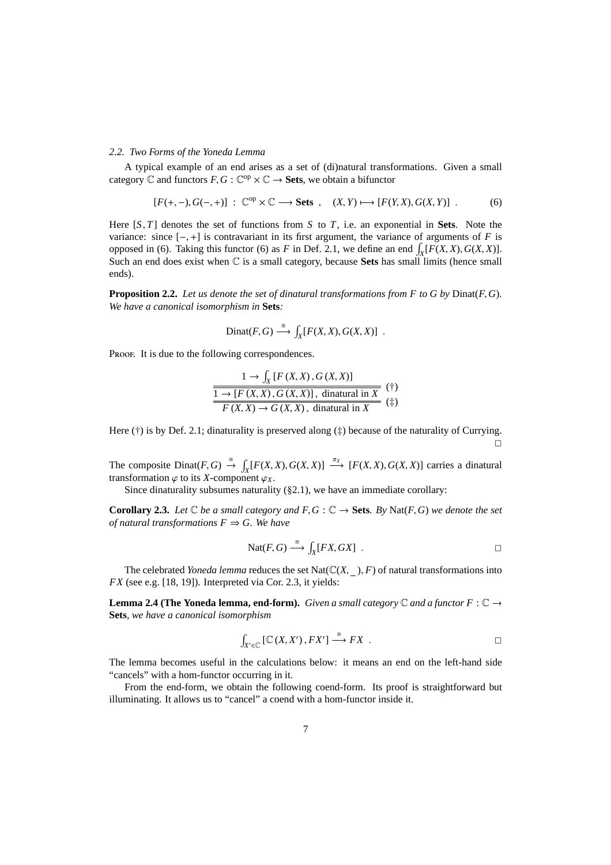### *2.2. Two Forms of the Yoneda Lemma*

A typical example of an end arises as a set of (di)natural transformations. Given a small category  $\mathbb C$  and functors  $F, G: \mathbb C^{op} \times \mathbb C \to \mathbf{Sets}$ , we obtain a bifunctor

$$
[F(+,-),G(-,+)] : \mathbb{C}^{op} \times \mathbb{C} \longrightarrow \mathbf{Sets} , \quad (X,Y) \longmapsto [F(Y,X),G(X,Y)] .
$$
 (6)

Here [*S*, *T*] denotes the set of functions from *S* to *T*, i.e. an exponential in **Sets**. Note the variance: since  $[-,+]$  is contravariant in its first argument, the variance of arguments of *F* is opposed in (6). Taking this functor (6) as *F* in Def. 2.1, we define an end  $\int_X [F(X, X), G(X, X)]$ . Such an end does exist when C is a small category, because **Sets** has small limits (hence small ends).

**Proposition 2.2.** *Let us denote the set of dinatural transformations from F to G by* Dinat(*F*,*G*)*. We have a canonical isomorphism in* **Sets***:*

$$
Dinat(F,G) \stackrel{\cong}{\longrightarrow} \int_X [F(X,X),G(X,X)] .
$$

Proof. It is due to the following correspondences.

$$
\frac{1 \to \int_X [F(X, X), G(X, X)]}{1 \to [F(X, X), G(X, X)], \text{ dinaatural in } X}
$$
 (\*)  

$$
\frac{F(X, X) \to G(X, X), \text{ dinaatural in } X}{F(X, X) \to G(X, X), \text{ dinaatural in } X}
$$

Here  $(\dagger)$  is by Def. 2.1; dinaturality is preserved along  $(\dagger)$  because of the naturality of Currying.  $\Box$ 

The composite  $Dinat(F, G) \stackrel{\cong}{\to} \int_X [F(X, X), G(X, X)] \stackrel{\pi_X}{\longrightarrow} [F(X, X), G(X, X)]$  carries a dinatural transformation  $\varphi$  to its *X*-component  $\varphi_X$ .

Since dinaturality subsumes naturality (§2.1), we have an immediate corollary:

**Corollary 2.3.** *Let*  $\mathbb C$  *be a small category and*  $F$ ,  $G$  :  $\mathbb C \to$  **Sets***. By* Nat(*F*,*G*) *we denote the set of natural transformations*  $F \Rightarrow G$ *. We have* 

$$
Nat(F, G) \stackrel{\cong}{\longrightarrow} \int_X [FX, GX] .
$$

The celebrated *Yoneda lemma* reduces the set  $Nat(\mathbb{C}(X, \_), F)$  of natural transformations into *FX* (see e.g. [18, 19]). Interpreted via Cor. 2.3, it yields:

**Lemma 2.4 (The Yoneda lemma, end-form).** *Given a small category*  $\mathbb C$  *and a functor*  $F : \mathbb C \to$ **Sets***, we have a canonical isomorphism*

$$
\int_{X' \in \mathbb{C}} \left[ \mathbb{C} \left( X, X' \right), FX' \right] \xrightarrow{\cong} FX \quad .
$$

The lemma becomes useful in the calculations below: it means an end on the left-hand side "cancels" with a hom-functor occurring in it.

From the end-form, we obtain the following coend-form. Its proof is straightforward but illuminating. It allows us to "cancel" a coend with a hom-functor inside it.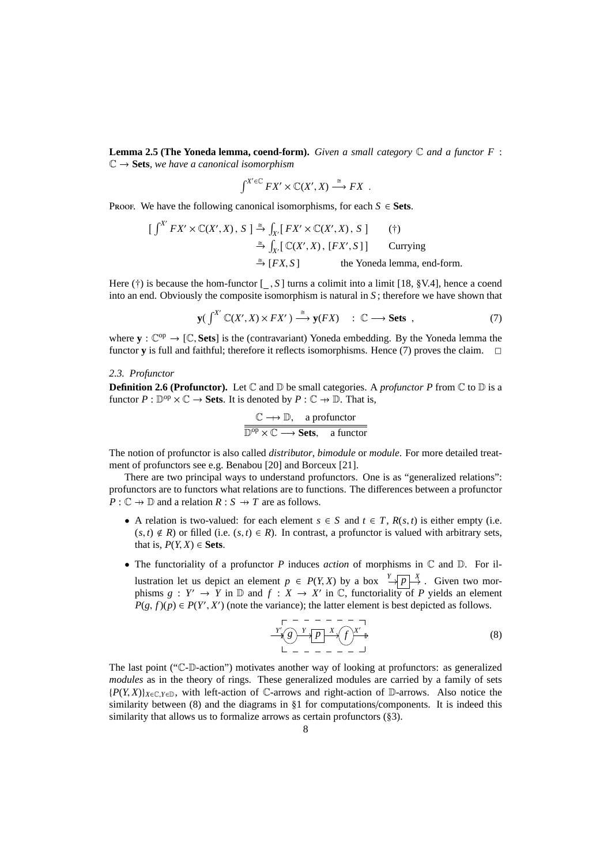**Lemma 2.5 (The Yoneda lemma, coend-form).** *Given a small category* C *and a functor F* : C → **Sets***, we have a canonical isomorphism*

$$
\int^{X' \in \mathbb{C}} FX' \times \mathbb{C}(X', X) \xrightarrow{\cong} FX
$$
.

Proof. We have the following canonical isomorphisms, for each  $S \in \mathbf{Sets}$ .

$$
\begin{aligned}\n\left[\int^{X'} FX' \times \mathbb{C}(X', X), S\right] &\stackrel{\cong}{\to} \int_{X'} \left[ FX' \times \mathbb{C}(X', X), S\right] & \quad (\dagger) \\
&\stackrel{\cong}{\to} \int_{X'} \left[ \mathbb{C}(X', X), [FX', S]\right] & \text{Currying} \\
&\stackrel{\cong}{\to} \left[ FX, S\right] & \text{the Yoneda lemma, end-form.}\n\end{aligned}
$$

Here (†) is because the hom-functor [ , *S* ] turns a colimit into a limit [18, §V.4], hence a coend into an end. Obviously the composite isomorphism is natural in *S* ; therefore we have shown that

$$
\mathbf{y} \big( \int^{X'} \mathbb{C}(X', X) \times FX' \big) \stackrel{\cong}{\longrightarrow} \mathbf{y}(FX) \quad : \mathbb{C} \longrightarrow \mathbf{Sets} \ , \tag{7}
$$

where  $y : \mathbb{C}^{op} \to [\mathbb{C}, \mathbf{Sets}]$  is the (contravariant) Yoneda embedding. By the Yoneda lemma the functor **y** is full and faithful; therefore it reflects isomorphisms. Hence (7) proves the claim.  $\Box$ 

#### *2.3. Profunctor*

**Definition 2.6 (Profunctor).** Let  $\mathbb C$  and  $\mathbb D$  be small categories. A *profunctor P* from  $\mathbb C$  to  $\mathbb D$  is a functor  $P : \mathbb{D}^{\text{op}} \times \mathbb{C} \to \mathbf{Sets}$ . It is denoted by  $P : \mathbb{C} \to \mathbb{D}$ . That is,

$$
\frac{\mathbb{C} \longrightarrow \mathbb{D}, \quad \text{a profunctor}}{\mathbb{D}^{\text{op}} \times \mathbb{C} \longrightarrow \text{Sets}, \quad \text{a functor}}
$$

The notion of profunctor is also called *distributor*, *bimodule* or *module*. For more detailed treatment of profunctors see e.g. Benabou [20] and Borceux [21].

There are two principal ways to understand profunctors. One is as "generalized relations": profunctors are to functors what relations are to functions. The differences between a profunctor  $P: \mathbb{C} \to \mathbb{D}$  and a relation  $R: S \to T$  are as follows.

- A relation is two-valued: for each element  $s \in S$  and  $t \in T$ ,  $R(s, t)$  is either empty (i.e.  $(s, t) \notin R$ ) or filled (i.e.  $(s, t) \in R$ ). In contrast, a profunctor is valued with arbitrary sets, that is,  $P(Y, X) \in \textbf{Sets}$ .
- The functoriality of a profunctor *P* induces *action* of morphisms in C and D. For illustration let us depict an element  $p \in P(Y, X)$  by a box  $\frac{Y}{\Box \Box P} \rightarrow X$ . Given two morphisms  $g: Y' \to Y$  in  $\mathbb D$  and  $f: X \to X'$  in  $\mathbb C$ , functoriality of P yields an element  $P(g, f)(p) \in P(Y', X')$  (note the variance); the latter element is best depicted as follows.

$$
\begin{array}{c}\n\Gamma \rightarrow - - - - - - - - - \\
\hline\nY \rightarrow \mathcal{E} \\
\downarrow - - - - - - - - \end{array} \tag{8}
$$

The last point ("C-D-action") motivates another way of looking at profunctors: as generalized *modules* as in the theory of rings. These generalized modules are carried by a family of sets  ${P(Y, X)}_{X \in \mathbb{C}, Y \in \mathbb{D}}$ , with left-action of  $\mathbb{C}$ -arrows and right-action of  $\mathbb{D}$ -arrows. Also notice the similarity between (8) and the diagrams in §1 for computations/components. It is indeed this similarity that allows us to formalize arrows as certain profunctors (§3).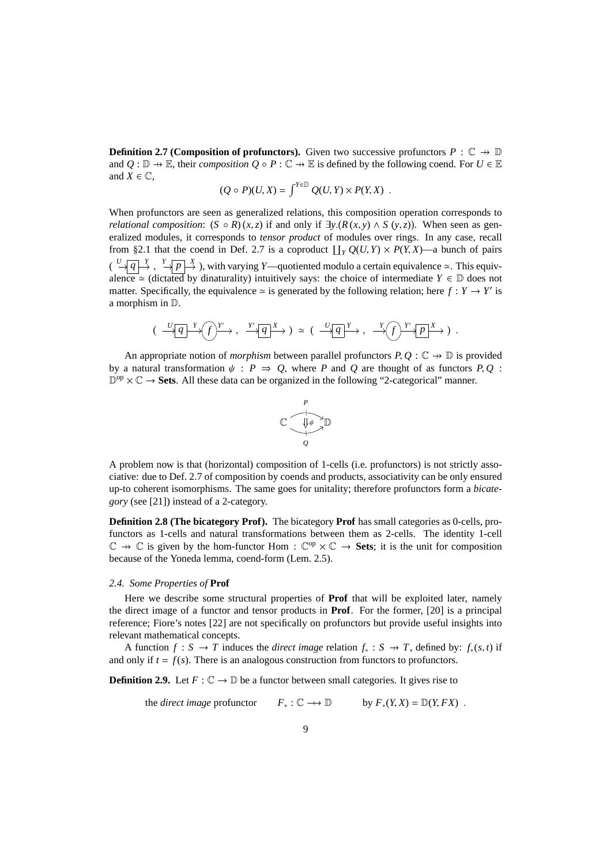**Definition 2.7 (Composition of profunctors).** Given two successive profunctors  $P : \mathbb{C} \to \mathbb{D}$ and  $Q : \mathbb{D} \to \mathbb{E}$ , their *composition*  $Q \circ P : \mathbb{C} \to \mathbb{E}$  is defined by the following coend. For  $U \in \mathbb{E}$ and  $X \in \mathbb{C}$ ,

$$
(Q \circ P)(U,X) = \int^{Y \in \mathbb{D}} Q(U,Y) \times P(Y,X) .
$$

When profunctors are seen as generalized relations, this composition operation corresponds to *relational composition*:  $(S \circ R)(x, z)$  if and only if  $\exists y.(R(x, y) \land S(y, z))$ . When seen as generalized modules, it corresponds to *tensor product* of modules over rings. In any case, recall from §2.1 that the coend in Def. 2.7 is a coproduct  $\prod_{Y} Q(U, Y) \times P(Y, X)$ —a bunch of pairs  $\left(\begin{array}{c} U \longrightarrow \overline{q} \rightarrow Y \end{array}\right),$  with varying *Y*—quotiented modulo a certain equivalence ≃. This equivalence  $\approx$  (dictated by dinaturality) intuitively says: the choice of intermediate  $Y \in \mathbb{D}$  does not matter. Specifically, the equivalence  $\simeq$  is generated by the following relation; here  $f: Y \to Y'$  is a morphism in D.

$$
(\xrightarrow{U}q \xrightarrow{Y} f) \xrightarrow{Y'} q \xrightarrow{X}) \simeq (\xrightarrow{U}q \xrightarrow{Y} , \xrightarrow{Y} f) \xrightarrow{Y'} p \xrightarrow{X})
$$
.

An appropriate notion of *morphism* between parallel profunctors  $P, Q : \mathbb{C} \to \mathbb{D}$  is provided by a natural transformation  $\psi$ : *P*  $\Rightarrow$  *Q*, where *P* and *Q* are thought of as functors *P*, *Q*:  $\mathbb{D}^{\text{op}} \times \mathbb{C} \to$  **Sets**. All these data can be organized in the following "2-categorical" manner.



A problem now is that (horizontal) composition of 1-cells (i.e. profunctors) is not strictly associative: due to Def. 2.7 of composition by coends and products, associativity can be only ensured up-to coherent isomorphisms. The same goes for unitality; therefore profunctors form a *bicategory* (see [21]) instead of a 2-category.

**Definition 2.8 (The bicategory Prof).** The bicategory **Prof** has small categories as 0-cells, profunctors as 1-cells and natural transformations between them as 2-cells. The identity 1-cell  $\mathbb{C} \to \mathbb{C}$  is given by the hom-functor Hom :  $\mathbb{C}^{op} \times \mathbb{C} \to$  **Sets**; it is the unit for composition because of the Yoneda lemma, coend-form (Lem. 2.5).

#### *2.4. Some Properties of* **Prof**

Here we describe some structural properties of **Prof** that will be exploited later, namely the direct image of a functor and tensor products in **Prof**. For the former, [20] is a principal reference; Fiore's notes [22] are not specifically on profunctors but provide useful insights into relevant mathematical concepts.

A function  $f : S \to T$  induces the *direct image* relation  $f_* : S \to T$ , defined by:  $f_*(s, t)$  if and only if  $t = f(s)$ . There is an analogous construction from functors to profunctors.

**Definition 2.9.** Let  $F: \mathbb{C} \to \mathbb{D}$  be a functor between small categories. It gives rise to

the *direct image* profunctor  $F_* : \mathbb{C} \longrightarrow \mathbb{D}$  by  $F_*(Y, X) = \mathbb{D}(Y, FX)$ .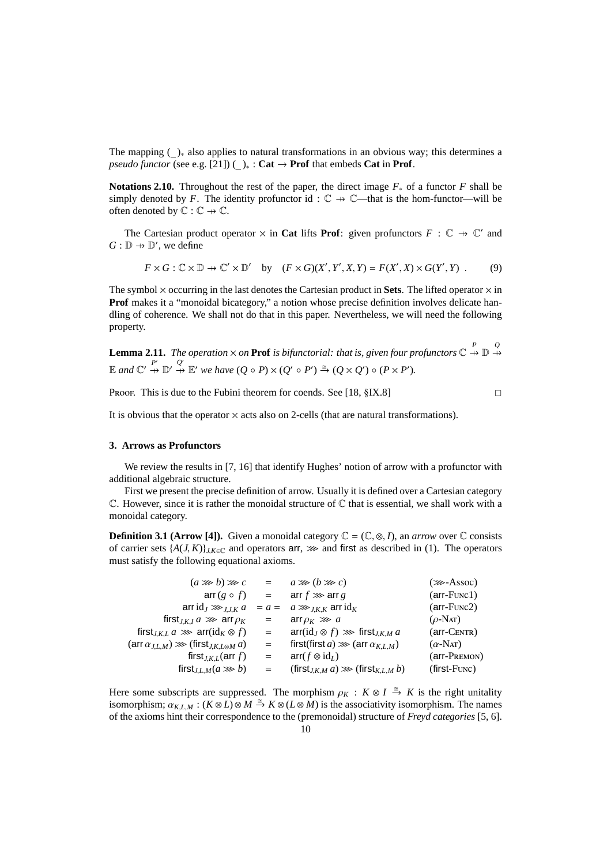The mapping ( )<sup>∗</sup> also applies to natural transformations in an obvious way; this determines a *pseudo functor* (see e.g. [21]) ( )<sub>\*</sub> : **Cat**  $\rightarrow$  **Prof** that embeds **Cat** in **Prof**.

**Notations 2.10.** Throughout the rest of the paper, the direct image *F*<sup>∗</sup> of a functor *F* shall be simply denoted by *F*. The identity profunctor id:  $\mathbb{C} \rightarrow \mathbb{C}$ —that is the hom-functor—will be often denoted by  $\mathbb{C} : \mathbb{C} \to \mathbb{C}$ .

The Cartesian product operator  $\times$  in **Cat** lifts **Prof**: given profunctors  $F : \mathbb{C} \to \mathbb{C}'$  and  $G: \mathbb{D} \to \mathbb{D}'$ , we define

$$
F \times G : \mathbb{C} \times \mathbb{D} \to \mathbb{C}' \times \mathbb{D}' \quad \text{by} \quad (F \times G)(X', Y', X, Y) = F(X', X) \times G(Y', Y) \tag{9}
$$

The symbol  $\times$  occurring in the last denotes the Cartesian product in **Sets**. The lifted operator  $\times$  in **Prof** makes it a "monoidal bicategory," a notion whose precise definition involves delicate handling of coherence. We shall not do that in this paper. Nevertheless, we will need the following property.

**Lemma 2.11.** The operation  $\times$  on **Prof** is bifunctorial: that is, given four profunctors  $\mathbb{C} \stackrel{P}{\rightarrow} \mathbb{D} \stackrel{Q}{\rightarrow}$  $\mathbb{E}$  and  $\mathbb{C}' \stackrel{P'}{\rightarrow} \mathbb{D}' \stackrel{Q'}{\rightarrow} \mathbb{E}'$  we have  $(Q \circ P) \times (Q' \circ P') \stackrel{\cong}{\rightarrow} (Q \times Q') \circ (P \times P')$ .

Proof. This is due to the Fubini theorem for coends. See  $[18, §IX.8]$ 

It is obvious that the operator  $\times$  acts also on 2-cells (that are natural transformations).

# **3. Arrows as Profunctors**

We review the results in [7, 16] that identify Hughes' notion of arrow with a profunctor with additional algebraic structure.

First we present the precise definition of arrow. Usually it is defined over a Cartesian category  $\mathbb C$ . However, since it is rather the monoidal structure of  $\mathbb C$  that is essential, we shall work with a monoidal category.

**Definition 3.1 (Arrow [4]).** Given a monoidal category  $\mathbb{C} = (\mathbb{C}, \otimes, I)$ , an *arrow* over  $\mathbb{C}$  consists of carrier sets  $\{A(J,K)\}_{J,K\in\mathbb{C}}$  and operators arr,  $\gg$  and first as described in (1). The operators must satisfy the following equational axioms.

| $(a \ggg b) \ggg c$                                                                         | $=$ | $a \ggg (b \ggg c)$                               | $(\ggg$ -Assoc)       |
|---------------------------------------------------------------------------------------------|-----|---------------------------------------------------|-----------------------|
| $\operatorname{arr}(g \circ f) =$                                                           |     | arr $f \gg \text{arr } g$                         | $(\text{arr-Func1})$  |
| arrid $_J \ggg_{J,K} a$                                                                     |     | $= a = a \ggg_{I,K,K}$ arrid <sub>K</sub>         | $(\text{arr-Func2})$  |
| first <sub>J,K,I</sub> $a \gg \arctan \rho_K$                                               | $=$ | arr $\rho_K \gg a$                                | $(\rho\text{-Nat})$   |
| first <sub><i>I.K.L a</i> <math>\gg</math> arr(id<sub>K</sub> <math>\otimes</math> f)</sub> | $=$ | $\arr(id_J \otimes f) \gg \text{first}_{J,K,M} a$ | $(arr-CENTR)$         |
| $(\arctan_{J,L,M}) \gg (\text{first}_{J,K,L\otimes M} a)$                                   | $=$ | first(first a) $\gg$ (arr $\alpha_{K,L,M}$ )      | $(\alpha$ -Nat)       |
| first <sub><i>J</i>,K,L</sub> (arr f)                                                       | $=$ | $arr(f \otimes id_L)$                             | $(\text{arr-PREMON})$ |
| first <sub>J,L,M</sub> $(a \gg b)$                                                          | $=$ | $(first_{J,K,M} a) \ggg (first_{K,L,M} b)$        | $(first$ - $Func)$    |

Here some subscripts are suppressed. The morphism  $\rho_K : K \otimes I \stackrel{\cong}{\to} K$  is the right unitality isomorphism;  $\alpha_{K,L,M}: (K \otimes L) \otimes M \stackrel{\cong}{\to} K \otimes (L \otimes M)$  is the associativity isomorphism. The names of the axioms hint their correspondence to the (premonoidal) structure of *Freyd categories* [5, 6].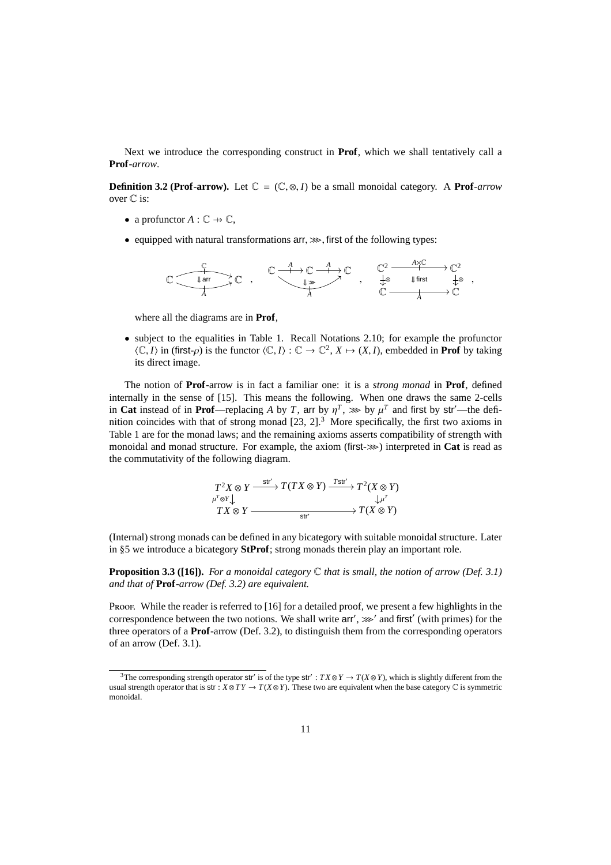Next we introduce the corresponding construct in **Prof**, which we shall tentatively call a **Prof***-arrow*.

**Definition 3.2 (Prof-arrow).** Let  $\mathbb{C} = (\mathbb{C}, \otimes, I)$  be a small monoidal category. A **Prof**-arrow over  $\mathbb C$  is:

- a profunctor  $A: \mathbb{C} \to \mathbb{C}$ ,
- equipped with natural transformations  $arr \gg r$ , first of the following types:



where all the diagrams are in **Prof**,

• subject to the equalities in Table 1. Recall Notations 2.10; for example the profunctor  $\langle \mathbb{C}, I \rangle$  in (first- $\rho$ ) is the functor  $\langle \mathbb{C}, I \rangle : \mathbb{C} \to \mathbb{C}^2$ ,  $X \mapsto (X, I)$ , embedded in **Prof** by taking its direct image.

The notion of **Prof**-arrow is in fact a familiar one: it is a *strong monad* in **Prof**, defined internally in the sense of [15]. This means the following. When one draws the same 2-cells in **Cat** instead of in **Prof**—replacing *A* by *T*, arr by  $\eta^T$ ,  $\gg$  by  $\mu^T$  and first by str'—the definition coincides with that of strong monad  $[23, 2]$ .<sup>3</sup> More specifically, the first two axioms in Table 1 are for the monad laws; and the remaining axioms asserts compatibility of strength with monoidal and monad structure. For example, the axiom (first- $\gg$ ) interpreted in **Cat** is read as the commutativity of the following diagram.

$$
T^{2}X \otimes Y \xrightarrow{\text{str}'} T(TX \otimes Y) \xrightarrow{T \text{str}'} T^{2}(X \otimes Y)
$$
  
\n
$$
TX \otimes Y \xrightarrow{\downarrow \mu^{T}} T(X \otimes Y)
$$
  
\n
$$
T(X \otimes Y)
$$

(Internal) strong monads can be defined in any bicategory with suitable monoidal structure. Later in §5 we introduce a bicategory **StProf**; strong monads therein play an important role.

**Proposition 3.3 ([16]).** *For a monoidal category* C *that is small, the notion of arrow (Def. 3.1) and that of* **Prof***-arrow (Def. 3.2) are equivalent.*

Proof. While the reader is referred to [16] for a detailed proof, we present a few highlights in the correspondence between the two notions. We shall write  $\ar{r}$ ,  $\gg$  and first' (with primes) for the three operators of a **Prof**-arrow (Def. 3.2), to distinguish them from the corresponding operators of an arrow (Def. 3.1).

<sup>&</sup>lt;sup>3</sup>The corresponding strength operator str' is of the type str' :  $TX \otimes Y \to T(X \otimes Y)$ , which is slightly different from the usual strength operator that is str :  $X \otimes TY \to T(X \otimes Y)$ . These two are equivalent when the base category  $\mathbb C$  is symmetric monoidal.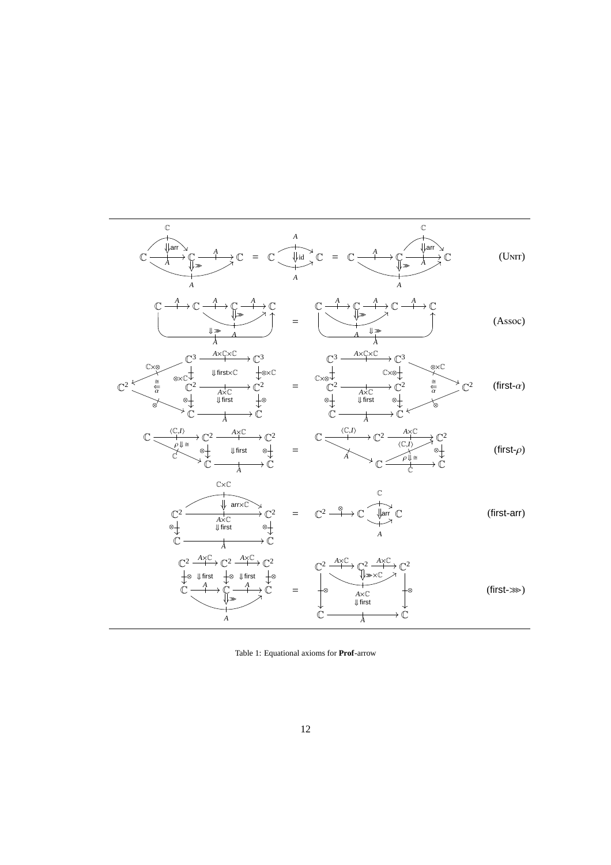

Table 1: Equational axioms for **Prof**-arrow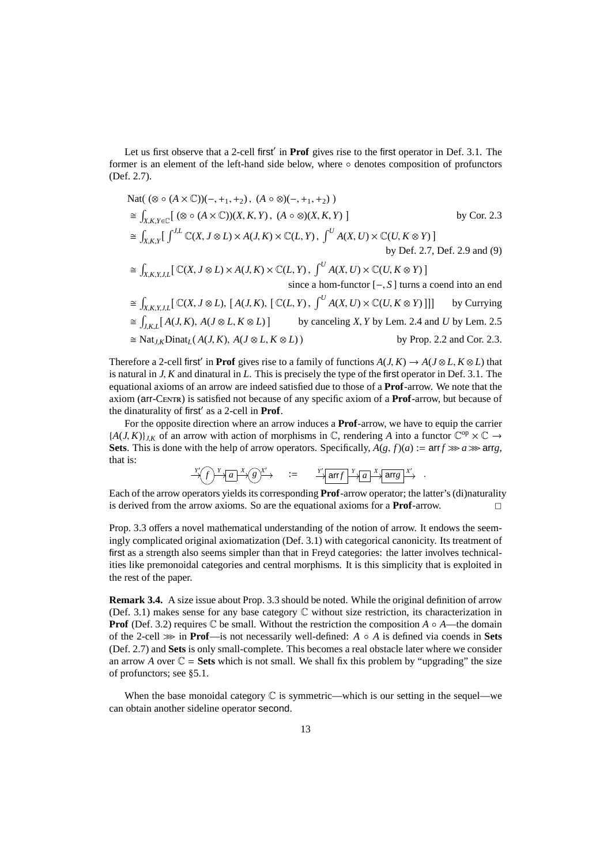Let us first observe that a 2-cell first' in **Prof** gives rise to the first operator in Def. 3.1. The former is an element of the left-hand side below, where ◦ denotes composition of profunctors (Def. 2.7).

$$
\begin{aligned}\n\text{Nat}( (\otimes \circ (A \times \mathbb{C}))(-, +_1, +_2), (A \circ \otimes)(-, +_1, +_2) ) \\
&\cong \int_{X,K,Y \in \mathbb{C}} [ (\otimes \circ (A \times \mathbb{C})) (X, K, Y), (A \circ \otimes) (X, K, Y) ] & \text{by Cor. 2.3} \\
&\cong \int_{X,K,Y} [\int^{J,L} \mathbb{C}(X, J \otimes L) \times A(J, K) \times \mathbb{C}(L, Y), \int^U A(X, U) \times \mathbb{C}(U, K \otimes Y) ] & \text{by Def. 2.7, Def. 2.9 and (9)} \\
&\cong \int_{X,K,Y,J,L} [\mathbb{C}(X, J \otimes L) \times A(J, K) \times \mathbb{C}(L, Y), \int^U A(X, U) \times \mathbb{C}(U, K \otimes Y) ] & \text{since a hom-functor } [-, S] \text{ turns a coend into an end} \\
&\cong \int_{X,K,Y,J,L} [\mathbb{C}(X, J \otimes L), [A(J, K), [\mathbb{C}(L, Y), \int^U A(X, U) \times \mathbb{C}(U, K \otimes Y) ]]] & \text{by Currying} \\
&\cong \int_{J,K,L} [A(J, K), A(J \otimes L, K \otimes L)] & \text{by canceling } X, Y \text{ by Lem. 2.4 and } U \text{ by Lem. 2.5} \\
&\cong \text{Nat}_{J,K} \text{Dinat}_L(A(J, K), A(J \otimes L, K \otimes L)) & \text{by Prop. 2.2 and Cor. 2.3.}\n\end{aligned}
$$

Therefore a 2-cell first<sup>'</sup> in **Prof** gives rise to a family of functions  $A(J, K) \to A(J \otimes L, K \otimes L)$  that is natural in *J*, *K* and dinatural in *L*. This is precisely the type of the first operator in Def. 3.1. The equational axioms of an arrow are indeed satisfied due to those of a **Prof**-arrow. We note that the axiom (arr-Centr) is satisfied not because of any specific axiom of a **Prof**-arrow, but because of the dinaturality of first′ as a 2-cell in **Prof**.

For the opposite direction where an arrow induces a **Prof**-arrow, we have to equip the carrier  ${A(J, K)}_{J,K}$  of an arrow with action of morphisms in  $\mathbb{C}$ , rendering *A* into a functor  $\mathbb{C}^{op} \times \mathbb{C} \to$ **Sets**. This is done with the help of arrow operators. Specifically,  $A(g, f)(a) := \text{arr} f \ggg a \ggg \text{arr} g$ , that is:

 $\frac{Y'}{X}f$   $\rightarrow$   $\frac{X}{a}$   $\rightarrow$   $\frac{X'}{x}$   $\rightarrow$   $\frac{Y'}{x}$  arr*f*  $\rightarrow$   $\frac{Y}{a}$  arr*g*  $\rightarrow$   $\frac{X'}{x}$ 

Each of the arrow operators yields its corresponding **Prof**-arrow operator; the latter's (di)naturality is derived from the arrow axioms. So are the equational axioms for a **Prof**-arrow.  $\Box$ 

Prop. 3.3 offers a novel mathematical understanding of the notion of arrow. It endows the seemingly complicated original axiomatization (Def. 3.1) with categorical canonicity. Its treatment of first as a strength also seems simpler than that in Freyd categories: the latter involves technicalities like premonoidal categories and central morphisms. It is this simplicity that is exploited in the rest of the paper.

**Remark 3.4.** A size issue about Prop. 3.3 should be noted. While the original definition of arrow (Def. 3.1) makes sense for any base category C without size restriction, its characterization in **Prof** (Def. 3.2) requires  $\mathbb C$  be small. Without the restriction the composition  $A \circ A$ —the domain of the 2-cell >>> in **Prof**—is not necessarily well-defined: *A* ◦ *A* is defined via coends in **Sets** (Def. 2.7) and **Sets** is only small-complete. This becomes a real obstacle later where we consider an arrow *A* over  $\mathbb{C}$  = **Sets** which is not small. We shall fix this problem by "upgrading" the size of profunctors; see §5.1.

When the base monoidal category  $C$  is symmetric—which is our setting in the sequel—we can obtain another sideline operator second.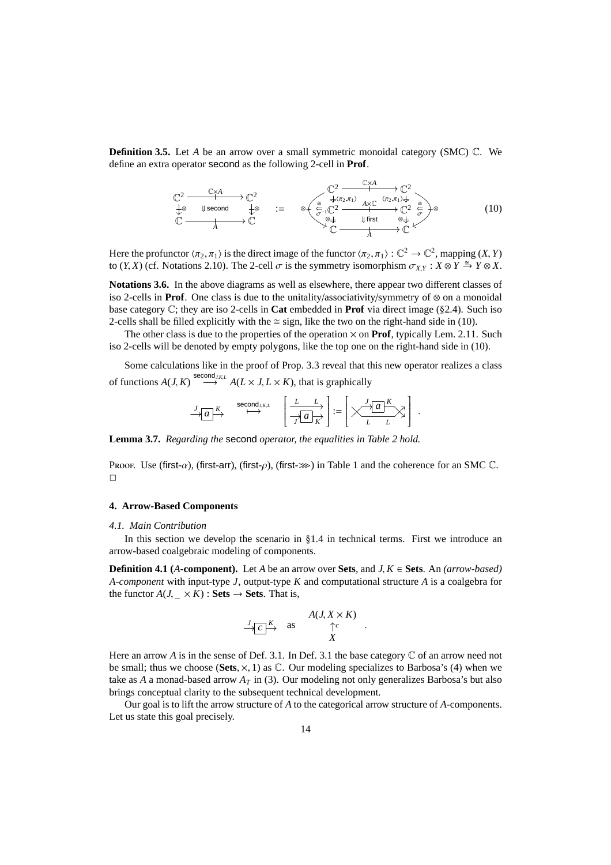**Definition 3.5.** Let *A* be an arrow over a small symmetric monoidal category (SMC)  $\mathbb{C}$ . We define an extra operator second as the following 2-cell in **Prof**.

$$
\begin{array}{ccc}\n\mathbb{C}^{2} & \xrightarrow{\mathbb{C} \times A} & \mathbb{C}^{2} \\
\downarrow^{\otimes} & \downarrow^{\otimes} & \downarrow^{\otimes} & \downarrow^{\otimes} \\
\mathbb{C} & \xrightarrow{A} & \mathbb{C}\n\end{array}\n\qquad \qquad \mathbb{C}^{2} \xrightarrow{\mathbb{C} \times A} \qquad \mathbb{C}^{2} \xrightarrow{\mathbb{C} \times A} \mathbb{C}^{2} \\
\downarrow^{\otimes} & \downarrow^{\otimes} & \downarrow^{\otimes} & \downarrow^{\otimes} \\
\mathbb{C} & \xrightarrow{A} & \mathbb{C}\n\end{array}\n\qquad \qquad \mathbb{C}^{2} \xrightarrow{\mathbb{C} \times A} \mathbb{C}^{2} \xrightarrow{\mathbb{C} \times A} \mathbb{C}^{2} \xrightarrow{\mathbb{C} \times A} \mathbb{C}^{2} \\
\qquad\qquad \qquad \mathbb{C}^{2} \xrightarrow{\mathbb{C} \times A} \mathbb{C}^{2} \xrightarrow{\mathbb{C} \times A} \mathbb{C}^{2} \\
\qquad\qquad \qquad \mathbb{C}^{2} \xrightarrow{\mathbb{C} \times A} \mathbb{C}^{2} \xrightarrow{\mathbb{C} \times A} \mathbb{C}^{2} \\
\qquad\qquad \qquad \mathbb{C}^{2} \xrightarrow{\mathbb{C} \times A} \mathbb{C}^{2} \xrightarrow{\mathbb{C} \times A} \mathbb{C}^{2} \\
\qquad\qquad \qquad \mathbb{C}^{2} \xrightarrow{\mathbb{C} \times A} \mathbb{C}^{2} \xrightarrow{\mathbb{C}^{2} \times A} \mathbb{C}^{2} \\
\qquad\qquad \qquad \mathbb{C}^{2} \xrightarrow{\mathbb{C} \times A} \mathbb{C}^{2} \xrightarrow{\mathbb{C}^{2} \times A} \mathbb{C}^{2} \\
\qquad\qquad \qquad \mathbb{C}^{2} \xrightarrow{\mathbb{C} \times A} \mathbb{C}^{2} \xrightarrow{\mathbb{C}^{2} \times A} \mathbb{C}^{2} \\
\qquad\qquad \qquad \mathbb{C}^{2} \xrightarrow{\mathbb{C} \times A} \mathbb{C}^{2} \xrightarrow{\mathbb{C}^{2} \times A} \mathbb{
$$

Here the profunctor  $\langle \pi_2, \pi_1 \rangle$  is the direct image of the functor  $\langle \pi_2, \pi_1 \rangle : \mathbb{C}^2 \to \mathbb{C}^2$ , mapping  $(X, Y)$ to  $(Y, X)$  (cf. Notations 2.10). The 2-cell  $\sigma$  is the symmetry isomorphism  $\sigma_{X,Y} : X \otimes Y \stackrel{\cong}{\to} Y \otimes X$ .

**Notations 3.6.** In the above diagrams as well as elsewhere, there appear two different classes of iso 2-cells in **Prof**. One class is due to the unitality/associativity/symmetry of ⊗ on a monoidal base category C; they are iso 2-cells in **Cat** embedded in **Prof** via direct image (§2.4). Such iso 2-cells shall be filled explicitly with the  $\cong$  sign, like the two on the right-hand side in (10).

The other class is due to the properties of the operation  $\times$  on **Prof**, typically Lem. 2.11. Such iso 2-cells will be denoted by empty polygons, like the top one on the right-hand side in (10).

Some calculations like in the proof of Prop. 3.3 reveal that this new operator realizes a class of functions  $A(J, K) \stackrel{\text{second } j, k, L}{\longrightarrow} A(L \times J, L \times K)$ , that is graphically

$$
\frac{J}{\longrightarrow a} \xrightarrow{K} \xrightarrow{\text{second}_{J,K,L}} \left[\frac{L}{\longrightarrow a} \right] := \left[\times \frac{J}{L} \frac{L}{L} \times \frac{1}{L} \right]
$$

.

**Lemma 3.7.** *Regarding the* second *operator, the equalities in Table 2 hold.*

Proof. Use (first- $\alpha$ ), (first-arr), (first- $\rho$ ), (first- $\gg$ ) in Table 1 and the coherence for an SMC C.  $\Box$ 

## **4. Arrow-Based Components**

## *4.1. Main Contribution*

In this section we develop the scenario in §1.4 in technical terms. First we introduce an arrow-based coalgebraic modeling of components.

**Definition 4.1 (***A***-component).** Let *A* be an arrow over **Sets**, and *J*, *K* ∈ **Sets**. An *(arrow-based) A-component* with input-type *J*, output-type *K* and computational structure *A* is a coalgebra for the functor  $A(J, \times K)$  : **Sets**  $\rightarrow$  **Sets**. That is,

$$
\xrightarrow{J} C \xrightarrow{K} \text{ as } A(J, X \times K) \xrightarrow{\uparrow c} .
$$

Here an arrow  $A$  is in the sense of Def. 3.1. In Def. 3.1 the base category  $\mathbb C$  of an arrow need not be small; thus we choose (**Sets**, ×, 1) as C. Our modeling specializes to Barbosa's (4) when we take as *A* a monad-based arrow  $A_T$  in (3). Our modeling not only generalizes Barbosa's but also brings conceptual clarity to the subsequent technical development.

Our goal is to lift the arrow structure of *A* to the categorical arrow structure of *A*-components. Let us state this goal precisely.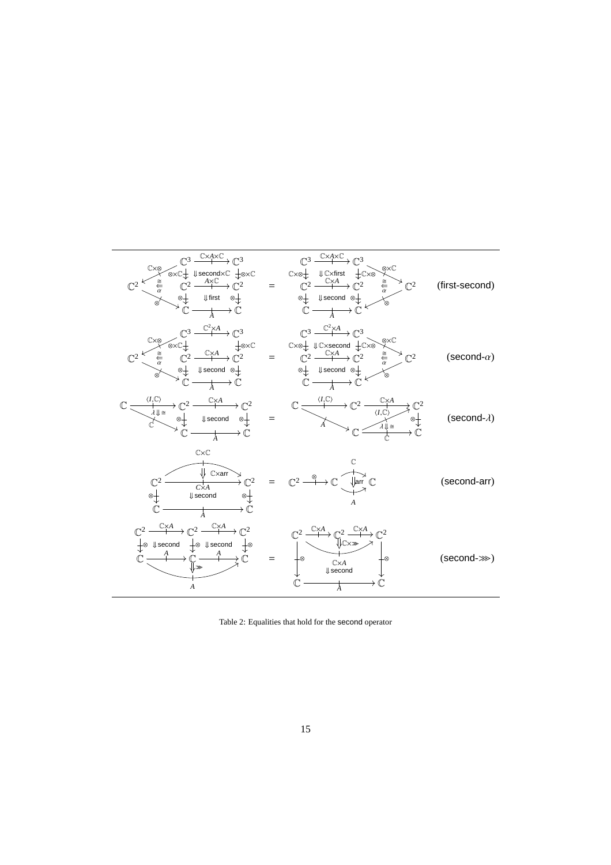| (first-second)           |                                                                                                                                                                                                                                                                                                                                                                                                                                                                                                                                          | $\mathbb{C}^2 \xrightarrow{\begin{array}{c}\mathbb{C}^3 \xrightarrow{\mathbb{C} \times A \times \mathbb{C}}\\ \text{c}^3 \xrightarrow{\mathbb{C} \times A \times \mathbb{C}}\\ \text{c}^2 \xrightarrow{\cong} \mathbb{C}^2 \xrightarrow{A \times \mathbb{C}}\\ \text{c}^2 \xrightarrow{\cong} \mathbb{C}^2 \xrightarrow{A \times \mathbb{C}}\\ \text{d}^3 \xrightarrow{\mathbb{C} \times A \times \mathbb{C}}\\ \text{e.g. } \mathbb{C}^3 \xrightarrow{\mathbb{C} \times A \times \mathbb{C}}\\ \text{f. } \mathbb{$                                                                                                                                                                                                         |
|--------------------------|------------------------------------------------------------------------------------------------------------------------------------------------------------------------------------------------------------------------------------------------------------------------------------------------------------------------------------------------------------------------------------------------------------------------------------------------------------------------------------------------------------------------------------------|------------------------------------------------------------------------------------------------------------------------------------------------------------------------------------------------------------------------------------------------------------------------------------------------------------------------------------------------------------------------------------------------------------------------------------------------------------------------------------------------------------------------------------------------------------------------------------------------------------------------------------------------------------------------------------------------------------------------------|
| $(\text{second-}\alpha)$ |                                                                                                                                                                                                                                                                                                                                                                                                                                                                                                                                          | $\mathbb{C}^2 \xrightarrow{\mathbb{C}^3} \xrightarrow{\mathbb{C}^2 \times A} \mathbb{C}^3 \xrightarrow{\mathbb{C}^2 \times A} \mathbb{C}^3 \xrightarrow{\mathbb{C}^2 \times A} \mathbb{C}^3 \xrightarrow{\mathbb{C}^2 \times A} \mathbb{C}^3 \xrightarrow{\mathbb{C}^2 \times A} \mathbb{C}^3 \xrightarrow{\mathbb{C}^2 \times A} \mathbb{C}^3 \xrightarrow{\mathbb{C}^2 \times A} \mathbb{C}^3 \xrightarrow{\mathbb{C}^2 \times A} \mathbb{C}^3 \xrightarrow{\mathbb{C}^2 \times A} \$                                                                                                                                                                                                                                      |
|                          | $\mathbb{C} \xrightarrow{\langle I, \mathbb{C} \rangle} \mathbb{C}^2 \xrightarrow{\mathbb{C} \times A} \mathbb{C}^2 \xrightarrow{\mathbb{C} \times A} \mathbb{C}^2 \xrightarrow{\langle I, \mathbb{C} \rangle} \mathbb{C}^2 \xrightarrow{\langle I, \mathbb{C} \rangle} \mathbb{C}^2 \xrightarrow{\langle I, \mathbb{C} \rangle} \mathbb{C}^2 \xrightarrow{\langle I, \mathbb{C} \rangle} \mathbb{C}^2 \xrightarrow{\langle I, \mathbb{C} \rangle} \mathbb{C}^2 \xrightarrow{\langle I, \mathbb{C} \rangle} \mathbb{C}^2 \xrightarrow{\$ |                                                                                                                                                                                                                                                                                                                                                                                                                                                                                                                                                                                                                                                                                                                              |
| (second-arr)             |                                                                                                                                                                                                                                                                                                                                                                                                                                                                                                                                          | $\mathbb{C}\times\mathbb{C}$<br>$\overrightarrow{C}$                                                                                                                                                                                                                                                                                                                                                                                                                                                                                                                                                                                                                                                                         |
| $(second \gg)$           | $\longrightarrow \mathbb{C}$                                                                                                                                                                                                                                                                                                                                                                                                                                                                                                             | $\mathbb{C}^2 \xrightarrow{\mathbb{C} \times A} \mathbb{C}^2 \xrightarrow{\mathbb{C} \times A} \mathbb{C}^2$<br>$\begin{array}{ccc}\n\mathbb{C}^2 & \xrightarrow{\longrightarrow} \mathbb{C}^2 & \xrightarrow{\longrightarrow} \mathbb{C}^2 \\ \downarrow \otimes \downarrow \mathsf{second} & \downarrow \otimes \downarrow \mathsf{second} & \downarrow \otimes \\ \mathbb{C} & \xrightarrow{A} & \mathbb{C} & \xrightarrow{A} \mathbb{C} \\ \downarrow \otimes & \downarrow \mathsf{second} & \downarrow \otimes \\ \hline\n\end{array}\n\qquad\n\begin{array}{ccc}\n\mathbb{C}^2 & \xrightarrow{\mathbb{C} \times A} & \mathbb{C}^2 \\ \downarrow \otimes & \downarrow \mathsf{cc} & \downarrow \ot$<br>$\boldsymbol{A}$ |

Table 2: Equalities that hold for the second operator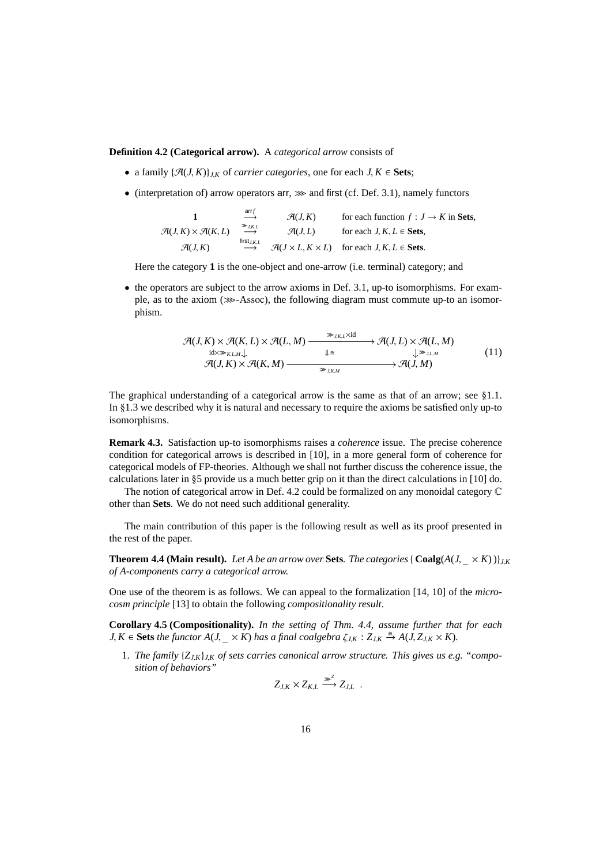# **Definition 4.2 (Categorical arrow).** A *categorical arrow* consists of

- a family  $\{\mathcal{A}(J,K)\}_{JK}$  of *carrier categories*, one for each  $J, K \in \mathbf{Sets}$ ;
- (interpretation of) arrow operators  $\text{arr}, \gg$  and first (cf. Def. 3.1), namely functors

1 
$$
\xrightarrow{\text{arrf}}
$$
  $\mathcal{A}(J, K)$  for each function  $f : J \to K$  in Sets,  
\n $\mathcal{A}(J, K) \times \mathcal{A}(K, L)$   $\xrightarrow{\text{#ist}_{J, K, L}}$   $\mathcal{A}(J, L)$  for each  $J, K, L \in \text{Sets}$ ,  
\n $\mathcal{A}(J, K)$   $\xrightarrow{\text{first}_{J, K, L}}$   $\mathcal{A}(J \times L, K \times L)$  for each  $J, K, L \in \text{Sets}$ .

Here the category **1** is the one-object and one-arrow (i.e. terminal) category; and

• the operators are subject to the arrow axioms in Def. 3.1, up-to isomorphisms. For example, as to the axiom ( $\gg$ -Assoc), the following diagram must commute up-to an isomorphism.

$$
\mathcal{A}(J,K) \times \mathcal{A}(K,L) \times \mathcal{A}(L,M) \xrightarrow{\gg_{J,K,L} \times \text{id}} \mathcal{A}(J,L) \times \mathcal{A}(L,M)
$$
\n
$$
\xrightarrow{\text{id} \times \gg_{K,L,M}} \downarrow \qquad \qquad \downarrow \cong \qquad \qquad \downarrow \gg_{J,L,M} \qquad \qquad (11)
$$
\n
$$
\mathcal{A}(J,K) \times \mathcal{A}(K,M) \xrightarrow{\gg_{J,K,M}} \mathcal{A}(J,M)
$$

The graphical understanding of a categorical arrow is the same as that of an arrow; see §1.1. In §1.3 we described why it is natural and necessary to require the axioms be satisfied only up-to isomorphisms.

**Remark 4.3.** Satisfaction up-to isomorphisms raises a *coherence* issue. The precise coherence condition for categorical arrows is described in [10], in a more general form of coherence for categorical models of FP-theories. Although we shall not further discuss the coherence issue, the calculations later in §5 provide us a much better grip on it than the direct calculations in [10] do.

The notion of categorical arrow in Def. 4.2 could be formalized on any monoidal category C other than **Sets**. We do not need such additional generality.

The main contribution of this paper is the following result as well as its proof presented in the rest of the paper.

**Theorem 4.4 (Main result).** Let A be an arrow over Sets. The categories {  $\text{Coalg}(A(J, \times K))$ } *of A-components carry a categorical arrow.*

One use of the theorem is as follows. We can appeal to the formalization [14, 10] of the *microcosm principle* [13] to obtain the following *compositionality result*.

**Corollary 4.5 (Compositionality).** *In the setting of Thm. 4.4, assume further that for each*  $J, K \in$  **Sets** the functor  $A(J, \_ \times K)$  has a final coalgebra  $\zeta_{JK} : Z_{JK} \stackrel{\cong}{\to} A(J, Z_{JK} \times K)$ .

1. *The family* {*ZJ*,*K*}*J*,*<sup>K</sup> of sets carries canonical arrow structure. This gives us e.g. "composition of behaviors"*

$$
Z_{J,K} \times Z_{K,L} \xrightarrow{\infty} Z_{J,L} .
$$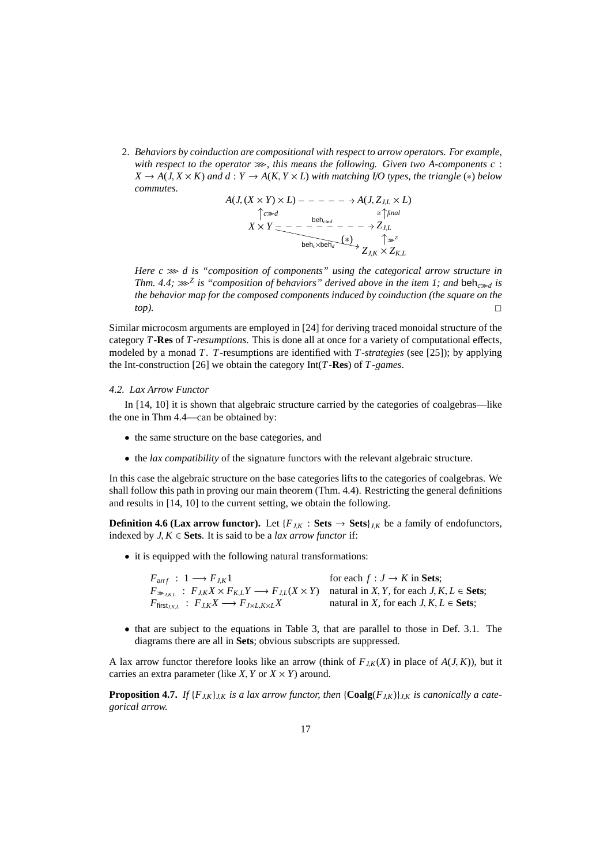2. *Behaviors by coinduction are compositional with respect to arrow operators. For example,* with respect to the operator  $\gg$ , this means the following. Given two A-components c:  $X \rightarrow A(J, X \times K)$  and  $d: Y \rightarrow A(K, Y \times L)$  with matching I/O types, the triangle (\*) below *commutes.*

$$
A(J, (X \times Y) \times L) - - - - - \to A(J, Z_{J,L} \times L)
$$
  
\n
$$
\uparrow c \gg d
$$
  
\n
$$
X \times Y = - - - - - - - \to Z_{J,L}
$$
  
\n
$$
\downarrow c \gg d
$$
  
\n
$$
\downarrow c \gg d
$$
  
\n
$$
\downarrow c \gg d
$$
  
\n
$$
\downarrow c \gg d
$$
  
\n
$$
\downarrow c \gg d
$$
  
\n
$$
\downarrow c \gg d
$$
  
\n
$$
\downarrow c \gg d
$$
  
\n
$$
\downarrow c \gg d
$$
  
\n
$$
\downarrow c \gg d
$$
  
\n
$$
\downarrow c \gg d
$$
  
\n
$$
\downarrow c \gg d
$$
  
\n
$$
\downarrow c \gg d
$$
  
\n
$$
\downarrow c \gg d
$$
  
\n
$$
\downarrow c \gg d
$$
  
\n
$$
\downarrow c \gg d
$$
  
\n
$$
\downarrow c \gg d
$$
  
\n
$$
\downarrow c \gg d
$$
  
\n
$$
\downarrow c \gg d
$$
  
\n
$$
\downarrow c \gg d
$$
  
\n
$$
\downarrow c \gg d
$$
  
\n
$$
\downarrow c \gg d
$$
  
\n
$$
\downarrow c \gg d
$$
  
\n
$$
\downarrow c \gg d
$$
  
\n
$$
\downarrow c \gg d
$$
  
\n
$$
\downarrow c \gg d
$$
  
\n
$$
\downarrow c \gg d
$$
  
\n
$$
\downarrow c \gg d
$$
  
\n
$$
\downarrow c \gg d
$$
  
\n
$$
\downarrow c \gg d
$$
  
\n
$$
\downarrow c \gg d
$$
  
\n
$$
\downarrow c \gg d
$$
  
\n
$$
\downarrow c \gg d
$$
  
\n
$$
\downarrow c \gg d
$$
  
\n
$$
\downarrow c \gg d
$$
  
\n
$$
\downarrow c \gg d
$$
  
\n
$$
\downarrow c \gg d
$$
  
\n
$$
\downarrow c \gg d
$$
  
\n
$$
\downarrow
$$

*Here c*  $\gg$  *d* is "composition of components" using the categorical arrow structure in *Thm.* 4.4;  $\ggg^Z$  is "composition of behaviors" derived above in the item 1; and beh<sub>c $\gg d$ </sub> is *the behavior map for the composed components induced by coinduction (the square on the top*).

Similar microcosm arguments are employed in [24] for deriving traced monoidal structure of the category *T*-**Res** of *T-resumptions*. This is done all at once for a variety of computational effects, modeled by a monad *T*. *T*-resumptions are identified with *T-strategies* (see [25]); by applying the Int-construction [26] we obtain the category Int(*T*-**Res**) of *T-games*.

# *4.2. Lax Arrow Functor*

In [14, 10] it is shown that algebraic structure carried by the categories of coalgebras—like the one in Thm 4.4—can be obtained by:

- the same structure on the base categories, and
- the *lax compatibility* of the signature functors with the relevant algebraic structure.

In this case the algebraic structure on the base categories lifts to the categories of coalgebras. We shall follow this path in proving our main theorem (Thm. 4.4). Restricting the general definitions and results in [14, 10] to the current setting, we obtain the following.

**Definition 4.6 (Lax arrow functor).** Let  ${F_{JK} : \mathbf{Sets} \to \mathbf{Sets}}_{J,K}$  be a family of endofunctors, indexed by  $J, K \in \mathbf{Sets}$ . It is said to be a *lax arrow functor* if:

• it is equipped with the following natural transformations:

 $F_{\text{arr }f}$  : 1  $\longrightarrow$   $F_{J,K}1$  for each  $f : J \to K$  in **Sets**;  $F_{\gg_{J,K,L}}$ :  $F_{J,K}X \times F_{K,L}Y \longrightarrow F_{J,L}(X \times Y)$  natural in X, Y, for each J, K, L  $\in$  Sets;  $F_{\text{first}_{J,K,L}}$  :  $F_{J,K}X \longrightarrow F_{J\times L,K\times L}X$  natural in *X*, for each *J*, *K*, *L* ∈ **Sets**;

• that are subject to the equations in Table 3, that are parallel to those in Def. 3.1. The diagrams there are all in **Sets**; obvious subscripts are suppressed.

A lax arrow functor therefore looks like an arrow (think of  $F_{JK}(X)$  in place of  $A(J, K)$ ), but it carries an extra parameter (like *X*, *Y* or  $X \times Y$ ) around.

**Proposition 4.7.** *If*  $\{F_{JK}\}_{JK}$  *is a lax arrow functor, then*  $\{\text{Coalg}(F_{JK})\}_{JK}$  *is canonically a categorical arrow.*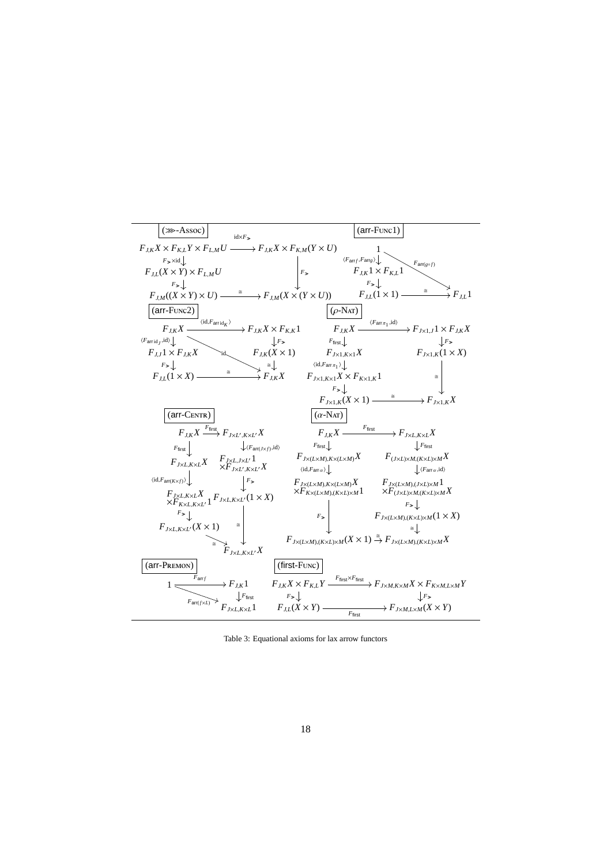

Table 3: Equational axioms for lax arrow functors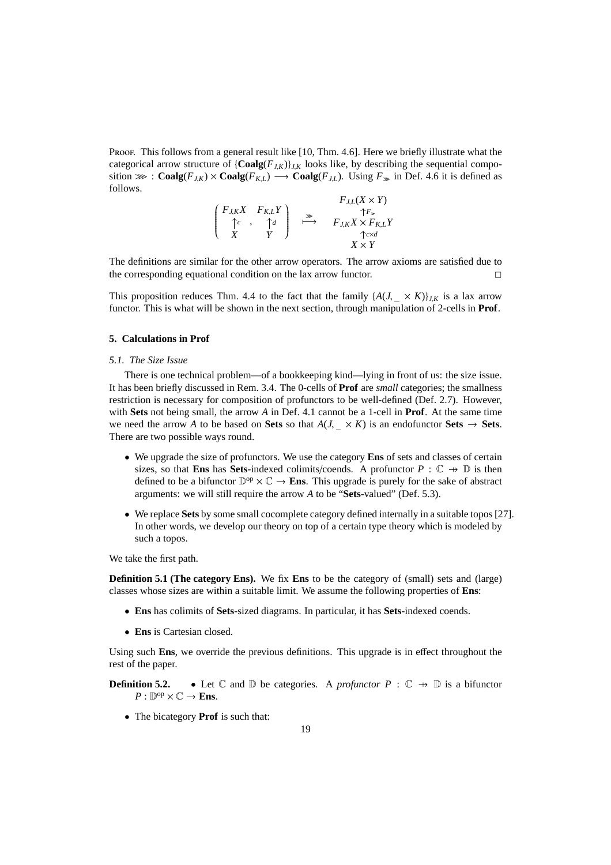Proof. This follows from a general result like [10, Thm. 4.6]. Here we briefly illustrate what the categorical arrow structure of  $\{Coalg(F_{J,K})\}_{J,K}$  looks like, by describing the sequential composition  $\gg$  : **Coalg**( $F_{JK}$ ) × **Coalg**( $F_{KL}$ )  $\rightarrow$  **Coalg**( $F_{J,L}$ ). Using  $F_{\gg}$  in Def. 4.6 it is defined as follows. *FJ*,*L*(*X* × *Y*)

$$
\begin{pmatrix}\nF_{J,K}X & F_{K,L}Y \\
\uparrow c & \uparrow d \\
X & Y\n\end{pmatrix}\n\begin{matrix}\nF_{J,L}(X \times Y) \\
\uparrow F_{\geq 0} \\
F_{J,K}X \times F_{K,L}Y \\
\uparrow c \times d \\
X \times Y\n\end{matrix}
$$

The definitions are similar for the other arrow operators. The arrow axioms are satisfied due to the corresponding equational condition on the lax arrow functor.  $\Box$ 

This proposition reduces Thm. 4.4 to the fact that the family  $\{A(J, \_\times K)\}_{J,K}$  is a lax arrow functor. This is what will be shown in the next section, through manipulation of 2-cells in **Prof**.

## **5. Calculations in Prof**

## *5.1. The Size Issue*

There is one technical problem—of a bookkeeping kind—lying in front of us: the size issue. It has been briefly discussed in Rem. 3.4. The 0-cells of **Prof** are *small* categories; the smallness restriction is necessary for composition of profunctors to be well-defined (Def. 2.7). However, with **Sets** not being small, the arrow *A* in Def. 4.1 cannot be a 1-cell in **Prof**. At the same time we need the arrow *A* to be based on **Sets** so that  $A(J, \times K)$  is an endofunctor **Sets**  $\rightarrow$  **Sets**. There are two possible ways round.

- We upgrade the size of profunctors. We use the category **Ens** of sets and classes of certain sizes, so that **Ens** has **Sets**-indexed colimits/coends. A profunctor  $P : \mathbb{C} \to \mathbb{D}$  is then defined to be a bifunctor  $\mathbb{D}^{op} \times \mathbb{C} \to \mathbf{Ens}$ . This upgrade is purely for the sake of abstract arguments: we will still require the arrow *A* to be "**Sets**-valued" (Def. 5.3).
- We replace **Sets** by some small cocomplete category defined internally in a suitable topos [27]. In other words, we develop our theory on top of a certain type theory which is modeled by such a topos.

We take the first path.

**Definition 5.1 (The category Ens).** We fix **Ens** to be the category of (small) sets and (large) classes whose sizes are within a suitable limit. We assume the following properties of **Ens**:

- **Ens** has colimits of **Sets**-sized diagrams. In particular, it has **Sets**-indexed coends.
- **Ens** is Cartesian closed.

Using such **Ens**, we override the previous definitions. This upgrade is in effect throughout the rest of the paper.

**Definition 5.2.** • Let  $\mathbb C$  and  $\mathbb D$  be categories. A *profunctor*  $P : \mathbb C \to \mathbb D$  is a bifunctor  $P: \mathbb{D}^{\mathrm{op}} \times \mathbb{C} \to \mathbf{Ens}.$ 

• The bicategory **Prof** is such that: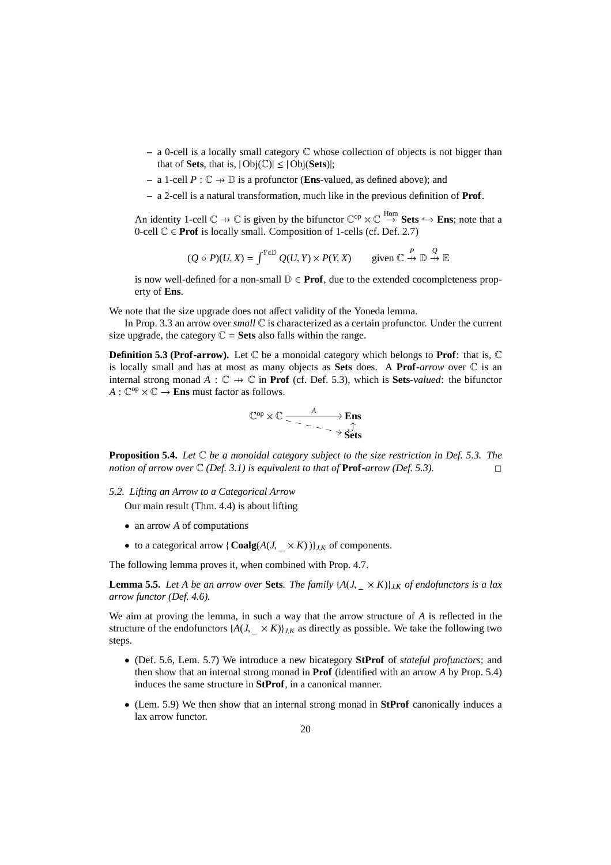- **–** a 0-cell is a locally small category C whose collection of objects is not bigger than that of **Sets**, that is,  $|\text{Obj}(\mathbb{C})| \leq |\text{Obj}(\text{Sets})|$ ;
- **−** a 1-cell  $P$  :  $\mathbb{C}$   $\rightarrow$   $\mathbb{D}$  is a profunctor (**Ens**-valued, as defined above); and
- **–** a 2-cell is a natural transformation, much like in the previous definition of **Prof**.

An identity 1-cell  $\mathbb{C} \to \mathbb{C}$  is given by the bifunctor  $\mathbb{C}^{op} \times \mathbb{C} \stackrel{\text{Hom}}{\to}$  **Sets**  $\hookrightarrow$  **Ens**; note that a 0-cell  $\mathbb{C} \in \textbf{Prof}$  is locally small. Composition of 1-cells (cf. Def. 2.7)

$$
(Q \circ P)(U, X) = \int^{Y \in \mathbb{D}} Q(U, Y) \times P(Y, X) \quad \text{given } \mathbb{C} \stackrel{P}{\to} \mathbb{D} \stackrel{Q}{\to} \mathbb{E}
$$

is now well-defined for a non-small  $\mathbb{D} \in \textbf{Prof}$ , due to the extended cocompleteness property of **Ens**.

We note that the size upgrade does not affect validity of the Yoneda lemma.

In Prop. 3.3 an arrow over *small* C is characterized as a certain profunctor. Under the current size upgrade, the category  $\mathbb{C}$  = **Sets** also falls within the range.

**Definition 5.3 (Prof-arrow).** Let  $\mathbb C$  be a monoidal category which belongs to **Prof**: that is,  $\mathbb C$ is locally small and has at most as many objects as **Sets** does. A **Prof***-arrow* over C is an internal strong monad  $A : \mathbb{C} \to \mathbb{C}$  in **Prof** (cf. Def. 5.3), which is **Sets***-valued*: the bifunctor  $A: \mathbb{C}^{op} \times \mathbb{C} \to$  **Ens** must factor as follows.

$$
\mathbb{C}^{op} \times \mathbb{C} \xrightarrow{\phantom{op}} \xrightarrow{\phantom{op}} \xrightarrow{\phantom{op}} \xrightarrow{\phantom{op}} \xrightarrow{\phantom{op}} \xrightarrow{\phantom{op}} \xrightarrow{\phantom{op}} \xrightarrow{\phantom{op}} \xrightarrow{\phantom{op}} \xrightarrow{\phantom{op}} \xrightarrow{\phantom{op}} \xrightarrow{\phantom{op}} \xrightarrow{\phantom{op}} \xrightarrow{\phantom{op}} \xrightarrow{\phantom{op}} \xrightarrow{\phantom{op}} \xrightarrow{\phantom{op}} \xrightarrow{\phantom{op}} \xrightarrow{\phantom{op}} \xrightarrow{\phantom{op}} \xrightarrow{\phantom{op}} \xrightarrow{\phantom{op}} \xrightarrow{\phantom{op}} \xrightarrow{\phantom{op}} \xrightarrow{\phantom{op}} \xrightarrow{\phantom{op}} \xrightarrow{\phantom{op}} \xrightarrow{\phantom{op}} \xrightarrow{\phantom{op}} \xrightarrow{\phantom{op}} \xrightarrow{\phantom{op}} \xrightarrow{\phantom{op}} \xrightarrow{\phantom{op}} \xrightarrow{\phantom{op}} \xrightarrow{\phantom{op}} \xrightarrow{\phantom{op}} \xrightarrow{\phantom{op}} \xrightarrow{\phantom{op}} \xrightarrow{\phantom{op}} \xrightarrow{\phantom{op}} \xrightarrow{\phantom{op}} \xrightarrow{\phantom{op}} \xrightarrow{\phantom{op}} \xrightarrow{\phantom{op}} \xrightarrow{\phantom{op}} \xrightarrow{\phantom{op}} \xrightarrow{\phantom{op}} \xrightarrow{\phantom{op}} \xrightarrow{\phantom{op}} \xrightarrow{\phantom{op}} \xrightarrow{\phantom{op}} \xrightarrow{\phantom{op}} \xrightarrow{\phantom{op}} \xrightarrow{\phantom{op}} \xrightarrow{\phantom{op}} \xrightarrow{\phantom{op}} \xrightarrow{\phantom{op}} \xrightarrow{\phantom{op}} \xrightarrow{\phantom{op}} \xrightarrow{\phantom{op}} \xrightarrow{\phantom{op}} \xrightarrow{\phantom{op}} \xrightarrow{\phantom{op}} \xrightarrow{\phantom{op}} \xrightarrow{\phantom{op}} \xrightarrow{\phantom{op}} \xrightarrow{\phantom{op}} \xrightarrow{\phantom{op}} \xrightarrow{\phantom{op}} \xrightarrow{\phantom{op}} \xrightarrow{\phantom{op}} \xrightarrow{\phantom{op}} \xrightarrow{\phantom{op}} \xrightarrow{\phantom{op}} \xrightarrow{\phantom{op}} \xrightarrow{\phantom{op}} \xrightarrow{\phantom{op}} \xrightarrow{\phantom{op}} \xrightarrow{\phantom{op}} \xrightarrow{\phantom{op}} \xrightarrow{\phantom{op}} \xrightarrow{\phantom{op}} \xrightarrow{\phant
$$

**Proposition 5.4.** *Let* C *be a monoidal category subject to the size restriction in Def. 5.3. The notion of arrow over*  $\mathbb{C}$  *(Def. 3.1) is equivalent to that of* **Prof***-arrow (Def. 5.3).* 

*5.2. Lifting an Arrow to a Categorical Arrow*

Our main result (Thm. 4.4) is about lifting

- an arrow *A* of computations
- to a categorical arrow {  $\text{Coalg}(A(J, \times K))$ }, *K* of components.

The following lemma proves it, when combined with Prop. 4.7.

**Lemma 5.5.** *Let A be an arrow over* **Sets***. The family*  $\{A(J, \times K)\}_{J,K}$  *of endofunctors is a lax arrow functor (Def. 4.6).*

We aim at proving the lemma, in such a way that the arrow structure of *A* is reflected in the structure of the endofunctors  $\{A(J, \times K)\}_{J,K}$  as directly as possible. We take the following two steps.

- (Def. 5.6, Lem. 5.7) We introduce a new bicategory **StProf** of *stateful profunctors*; and then show that an internal strong monad in **Prof** (identified with an arrow *A* by Prop. 5.4) induces the same structure in **StProf**, in a canonical manner.
- (Lem. 5.9) We then show that an internal strong monad in **StProf** canonically induces a lax arrow functor.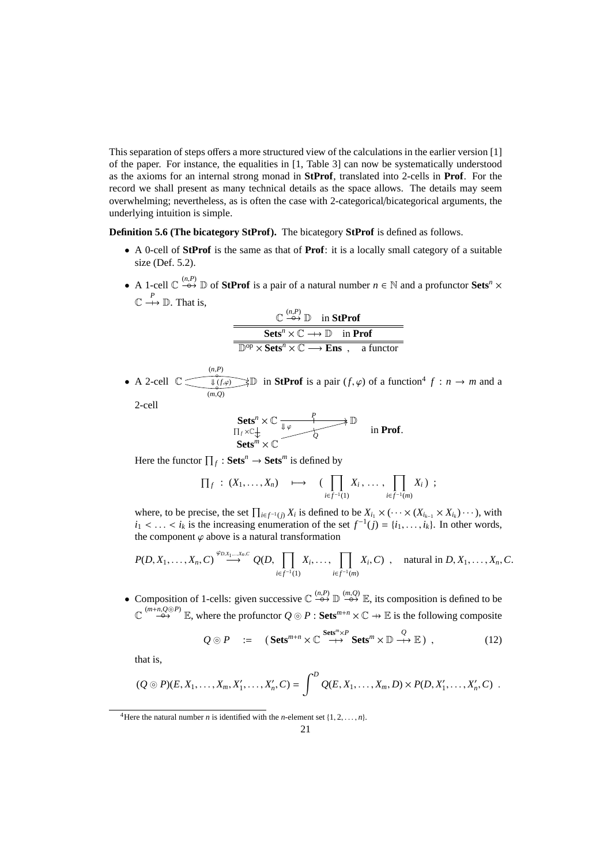This separation of steps offers a more structured view of the calculations in the earlier version [1] of the paper. For instance, the equalities in [1, Table 3] can now be systematically understood as the axioms for an internal strong monad in **StProf**, translated into 2-cells in **Prof**. For the record we shall present as many technical details as the space allows. The details may seem overwhelming; nevertheless, as is often the case with 2-categorical/bicategorical arguments, the underlying intuition is simple.

**Definition 5.6 (The bicategory StProf).** The bicategory **StProf** is defined as follows.

- A 0-cell of **StProf** is the same as that of **Prof**: it is a locally small category of a suitable size (Def. 5.2).
- A 1-cell  $\mathbb{C} \stackrel{(n,P)}{\rightarrow} \mathbb{D}$  of **StProf** is a pair of a natural number  $n \in \mathbb{N}$  and a profunctor **Sets**<sup>*n*</sup>  $\times$  $\mathbb{C} \stackrel{P}{\longrightarrow} \mathbb{D}$ . That is,

| $\mathbb{C} \stackrel{(n,P)}{\rightarrow} \mathbb{D}$ in StProf                                            |
|------------------------------------------------------------------------------------------------------------|
| $\text{Sets}^n \times \mathbb{C} \longrightarrow \mathbb{D}$ in Prof                                       |
| $\mathbb{D}^{\text{op}} \times \textbf{Sets}^n \times \mathbb{C} \longrightarrow \textbf{Ens}$ , a functor |

• A 2-cell  $\mathbb{C}$   $\overbrace{\phantom{ \mathbb{C}^{(n,P)}}\mathbb{C}^{(n,P)}}$ ◦ (*m*,*Q*)  $\overrightarrow{\mathbb{U}(f,\varphi)}$  in **StProf** is a pair  $(f,\varphi)$  of a function<sup>4</sup>  $f : n \to m$  and a

2-cell

**Sets<sup>n</sup>** 
$$
\times
$$
  $\mathbb{C}$   $\xrightarrow{\mathbb{L} \varphi}$   $\xrightarrow{\mathbb{L} \varphi}$   $\xrightarrow{\mathbb{L} \varphi}$   $\xrightarrow{\mathbb{L} \varphi}$   $\xrightarrow{\mathbb{L} \varphi}$   $\xrightarrow{\mathbb{L} \varphi}$   $\xrightarrow{\mathbb{L} \varphi}$   $\xrightarrow{\mathbb{L} \varphi}$   $\xrightarrow{\mathbb{L} \varphi}$   $\xrightarrow{\mathbb{L} \varphi}$   $\xrightarrow{\mathbb{L} \varphi}$   $\xrightarrow{\mathbb{L} \varphi}$   $\xrightarrow{\mathbb{L} \varphi}$   $\xrightarrow{\mathbb{L} \varphi}$ 

Here the functor  $\prod_f : \mathbf{Sets}^n \to \mathbf{Sets}^m$  is defined by

$$
\prod_f: (X_1,\ldots,X_n) \quad \mapsto \quad (\prod_{i\in f^{-1}(1)} X_i, \ldots, \prod_{i\in f^{-1}(m)} X_i) ;
$$

where, to be precise, the set  $\prod_{i \in f^{-1}(j)} X_i$  is defined to be  $X_{i_1} \times (\cdots \times (X_{i_{k-1}} \times X_{i_k}) \cdots)$ , with  $i_1$  < ... <  $i_k$  is the increasing enumeration of the set  $f^{-1}(j) = \{i_1, \ldots, i_k\}$ . In other words, the component  $\varphi$  above is a natural transformation

$$
P(D, X_1, \ldots, X_n, C) \stackrel{\varphi_{D, X_1, \ldots, X_n, C}}{\longrightarrow} Q(D, \prod_{i \in f^{-1}(1)} X_i, \ldots, \prod_{i \in f^{-1}(m)} X_i, C), \text{ natural in } D, X_1, \ldots, X_n, C.
$$

**•** Composition of 1-cells: given successive  $\mathbb{C} \stackrel{(n,P)}{\leftrightarrow} \mathbb{D} \stackrel{(m,Q)}{\leftrightarrow} \mathbb{E}$ , its composition is defined to be  $\mathbb{C}$ <sup>(*m*+*n*, $Q \odot P$ )</sup> E, where the profunctor  $Q \odot P$ : Sets<sup>*m*+*n*</sup> ×  $\mathbb{C} \rightarrow$  E is the following composite

$$
Q \odot P \quad := \quad (\textbf{Sets}^{m+n} \times \mathbb{C} \overset{\textbf{Sets}^{m} \times P}{\longrightarrow} \textbf{Sets}^{m} \times \mathbb{D} \overset{Q}{\longrightarrow} \mathbb{E}) \tag{12}
$$

that is,

$$
(Q \odot P)(E, X_1, \ldots, X_m, X'_1, \ldots, X'_n, C) = \int^D Q(E, X_1, \ldots, X_m, D) \times P(D, X'_1, \ldots, X'_n, C) .
$$

<sup>&</sup>lt;sup>4</sup>Here the natural number *n* is identified with the *n*-element set  $\{1, 2, \ldots, n\}$ .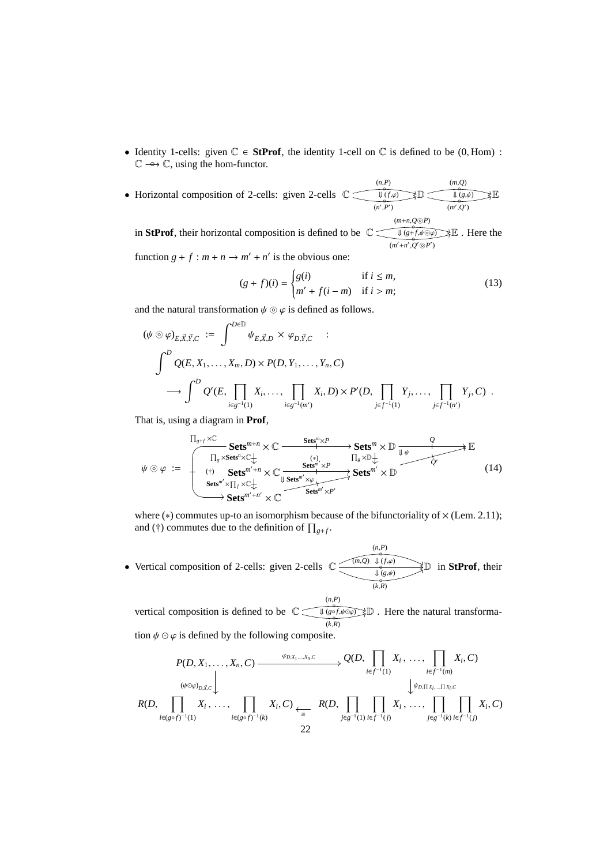- Identity 1-cells: given  $\mathbb{C} \in$  **StProf**, the identity 1-cell on  $\mathbb{C}$  is defined to be (0, Hom) : C −→◦ C, using the hom-functor.
- Horizontal composition of 2-cells: given 2-cells  $\mathbb{C}$  $\overset{(n,P)}{\circ}$  $(n', P')$  $\sqrt[\bullet]{(f,\varphi)} \rightarrow \mathbb{D}$ ◦ (*m*,*Q*)  $\frac{1}{\sqrt{g(\theta)}} \times E$  $(m', Q')$ (*m*+*n*,*Q*⊚*P*)

in **StProf**, their horizontal composition is defined to be  $\mathbb{C}$   $\overbrace{\downarrow (\hat{g} + \hat{f}, \hat{\psi} \circ \varphi)}^{\sim} \mathbb{R}$ . Here the ◦ (*m* ′+*n* ′ ,*Q* ′⊚*P* ′ )

function  $g + f : m + n \rightarrow m' + n'$  is the obvious one:

$$
(g+f)(i) = \begin{cases} g(i) & \text{if } i \le m, \\ m' + f(i-m) & \text{if } i > m; \end{cases}
$$
 (13)

and the natural transformation  $\psi \odot \varphi$  is defined as follows.

$$
\begin{aligned}\n(\psi \odot \varphi)_{E, \vec{X}, \vec{Y}, C} &:= \int^{D \in \mathbb{D}} \psi_{E, \vec{X}, D} \times \varphi_{D, \vec{Y}, C} & : \\
\int^{D} Q(E, X_1, \dots, X_m, D) \times P(D, Y_1, \dots, Y_n, C) \\
\longrightarrow \int^{D} Q'(E, \prod_{i \in g^{-1}(1)} X_i, \dots, \prod_{i \in g^{-1}(m')} X_i, D) \times P'(D, \prod_{j \in f^{-1}(1)} Y_j, \dots, \prod_{j \in f^{-1}(n')} Y_j, C) \ .\n\end{aligned}
$$

That is, using a diagram in **Prof**,

$$
\psi \odot \varphi := \begin{array}{c} \n\prod_{g+1} \times \mathbb{C} & \xrightarrow{\text{Sets}^m \times P} & \xrightarrow{\text{Sets}^m} \times \mathbb{D} & \xrightarrow{Q} \\
\text{This} \times \text{Sets}^m \times \mathbb{C} & \xrightarrow{(*)} & \text{This} \times \mathbb{D} & \xrightarrow{Q} \\
\text{(i)} & \xrightarrow{\text{Sets}^{m'+n}} \times \mathbb{C} & \xrightarrow{\text{Sets}^{m'} \times P} & \text{Sets}^{m'} \times \mathbb{D} \\
\text{Sets}^{m'} \times \prod_{j} \times \mathbb{C} & \xrightarrow{\text{Sets}^{m'} \times \varphi} & \text{Sets}^{m'} \times \mathbb{D} \\
\text{Sets}^{m'+n'} \times \mathbb{C} & \xrightarrow{\text{Sets}^{m'} \times P'} & \text{Sets}^{m'} \times P' \\
\end{array} \tag{14}
$$

where ( $*$ ) commutes up-to an isomorphism because of the bifunctoriality of  $\times$  (Lem. 2.11); and (†) commutes due to the definition of  $\prod_{g+f}$ .

• Vertical composition of 2-cells: given 2-cells  $\mathbb{C}$ ◦ (*n*,*P*)  $(m,Q) \Downarrow (f,\varphi)$  $\frac{\downarrow}{k} \frac{(g,\psi)}{(k,R)}$ D in **StProf**, their

vertical composition is defined to be  $\mathbb{C}$   $\left(\begin{array}{c} (n,P) \\ \downarrow (g \circ f, \end{array}\right)$ ◦ ⇓ (*g*◦ *<sup>f</sup>*,ψ⊙ϕ) D . Here the natural transforma- $(k, R)$ tion  $\psi \odot \varphi$  is defined by the following composite.

$$
P(D, X_1, \ldots, X_n, C) \xrightarrow{\varphi_{D,X_1, \ldots, X_n, C}} Q(D, \prod_{i \in f^{-1}(1)} X_i, \ldots, \prod_{i \in f^{-1}(m)} X_i, C)
$$
  
\n
$$
\downarrow^{\langle \psi \circ \varphi \rangle_{D, \vec{X}, C}} \downarrow^{\langle \psi \circ \varphi \rangle_{D, \vec{X}, C}}
$$
\n
$$
R(D, \prod_{i \in (g \circ f)^{-1}(1)} X_i, \ldots, \prod_{i \in (g \circ f)^{-1}(k)} X_i, C) \xleftarrow{\varepsilon} R(D, \prod_{j \in g^{-1}(1)} \prod_{i \in f^{-1}(j)} X_i, \ldots, \prod_{j \in g^{-1}(k)} \prod_{i \in f^{-1}(j)} X_i, C)
$$
\n
$$
22
$$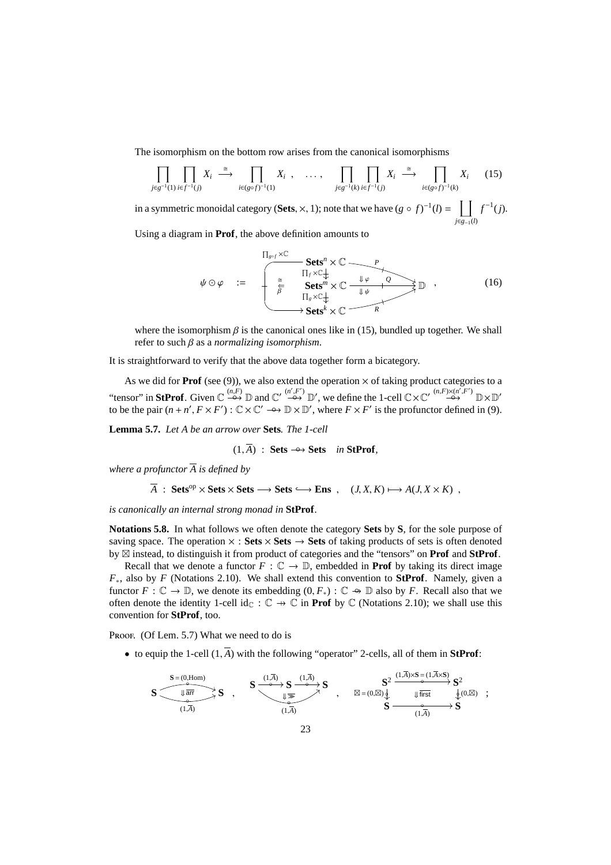The isomorphism on the bottom row arises from the canonical isomorphisms

$$
\prod_{j\in g^{-1}(1)}\prod_{i\in f^{-1}(j)} X_i \stackrel{\cong}{\longrightarrow} \prod_{i\in (g\circ f)^{-1}(1)} X_i , \quad \dots , \quad \prod_{j\in g^{-1}(k)}\prod_{i\in f^{-1}(j)} X_i \stackrel{\cong}{\longrightarrow} \prod_{i\in (g\circ f)^{-1}(k)} X_i \quad (15)
$$

in a symmetric monoidal category (**Sets**,  $\times$ , 1); note that we have  $(g \circ f)^{-1}(l) = \left[ \begin{array}{c} \end{array} \right]$ *j*∈*g*−1(*l*)  $f^{-1}(j)$ .

Using a diagram in **Prof**, the above definition amounts to

$$
\psi \odot \varphi \quad := \quad \begin{array}{ccc}\n\prod_{g \circ f} \times \mathbb{C} & & \\
\text{Sets}^n \times \mathbb{C} & & \\
\hline\n\frac{\cong}{\varphi} & \text{Sets}^m \times \mathbb{C} & \downarrow \varphi & \varphi \\
\text{Sets}^m \times \mathbb{C} & & \downarrow \psi & \\
\hline\n\prod_g \times \mathbb{C}^+_{\downarrow} & & \\
\hline\n\end{array} \quad \text{Sets} \quad (16)
$$

where the isomorphism  $\beta$  is the canonical ones like in (15), bundled up together. We shall refer to such β as a *normalizing isomorphism*.

It is straightforward to verify that the above data together form a bicategory.

As we did for **Prof** (see (9)), we also extend the operation  $\times$  of taking product categories to a "tensor" in **StProf**. Given  $\mathbb{C} \stackrel{(n,F)}{\longrightarrow} \mathbb{D}$  and  $\mathbb{C}' \stackrel{(n',F')}{\longrightarrow} \mathbb{D}'$ , we define the 1-cell  $\mathbb{C} \times \mathbb{C}' \stackrel{(n,F) \times (n',F')}{\longrightarrow} \mathbb{D} \times \mathbb{D}'$ to be the pair  $(n + n', F \times F') : \mathbb{C} \times \mathbb{C}' \longrightarrow \mathbb{D} \times \mathbb{D}'$ , where  $F \times F'$  is the profunctor defined in (9).

**Lemma 5.7.** *Let A be an arrow over* **Sets***. The 1-cell*

 $(1, \overline{A})$  : **Sets**  $\rightarrow \rightarrow$  **Sets** *in* **StProf**,

*where a profunctor A is defined by*

$$
\overline{A} : Sets^{op} \times Sets \times Sets \longrightarrow Sets \longrightarrow Ens , (J, X, K) \longmapsto A(J, X \times K) ,
$$

*is canonically an internal strong monad in* **StProf***.*

**Notations 5.8.** In what follows we often denote the category **Sets** by **S**, for the sole purpose of saving space. The operation  $\times$  : **Sets**  $\times$  **Sets**  $\rightarrow$  **Sets** of taking products of sets is often denoted by ⊠ instead, to distinguish it from product of categories and the "tensors" on **Prof** and **StProf**.

Recall that we denote a functor  $F : \mathbb{C} \to \mathbb{D}$ , embedded in **Prof** by taking its direct image *F*∗, also by *F* (Notations 2.10). We shall extend this convention to **StProf**. Namely, given a functor  $F: \mathbb{C} \to \mathbb{D}$ , we denote its embedding  $(0, F_*) : \mathbb{C} \to \mathbb{D}$  also by *F*. Recall also that we often denote the identity 1-cell id<sub>C</sub> :  $\mathbb{C} \rightarrow \mathbb{C}$  in **Prof** by  $\mathbb{C}$  (Notations 2.10); we shall use this convention for **StProf**, too.

Proof. (Of Lem. 5.7) What we need to do is

• to equip the 1-cell  $(1,\overline{A})$  with the following "operator" 2-cells, all of them in **StProf**:

$$
\mathbf{S} \xrightarrow[(\mathbf{1},\overline{\mathbf{A}})]{\text{array}} \mathbf{S} \xrightarrow[(\mathbf{1},\overline{\mathbf{A}})]{\text{array}} \mathbf{S} \xrightarrow[(\mathbf{1},\overline{\mathbf{A}})]{\text{array}} \mathbf{S} \xrightarrow[(\mathbf{1},\overline{\mathbf{A}})]{\text{sub}} \mathbf{S} \xrightarrow[(\mathbf{1},\overline{\mathbf{A}})]{\text{sub}} \mathbf{S} \xrightarrow[(\mathbf{1},\overline{\mathbf{A}})]{\text{sub}} \mathbf{S} \xrightarrow[(\mathbf{1},\overline{\mathbf{A}})]{\text{sub}} \mathbf{S} \xrightarrow[(\mathbf{1},\overline{\mathbf{A}})]{\text{sub}} \mathbf{S} \xrightarrow[(\mathbf{1},\overline{\mathbf{A}})]{\text{sub}} \mathbf{S} \xrightarrow[(\mathbf{1},\overline{\mathbf{A}})]{\text{sub}} \mathbf{S} \xrightarrow[(\mathbf{1},\overline{\mathbf{A}})]{\text{sub}} \mathbf{S} \xrightarrow[(\mathbf{1},\overline{\mathbf{A}})]{\text{sub}} \mathbf{S} \xrightarrow[(\mathbf{1},\overline{\mathbf{A}})]{\text{sub}} \mathbf{S} \xrightarrow[(\mathbf{1},\overline{\mathbf{A}})]{\text{sub}} \mathbf{S} \xrightarrow[(\mathbf{1},\overline{\mathbf{A}})]{\text{sub}} \mathbf{S} \xrightarrow[(\mathbf{1},\overline{\mathbf{A}})]{\text{sub}} \mathbf{S} \xrightarrow[(\mathbf{1},\overline{\mathbf{A}})]{\text{sub}} \mathbf{S} \xrightarrow[(\mathbf{1},\overline{\mathbf{A}})]{\text{sub}} \mathbf{S} \xrightarrow[(\mathbf{1},\overline{\mathbf{A}})]{\text{sub}} \mathbf{S} \xrightarrow[(\mathbf{1},\overline{\mathbf{A}})]{\text{sub}} \mathbf{S} \xrightarrow[(\mathbf{1},\overline{\mathbf{A}})]{\text{sub}} \mathbf{S} \xrightarrow[(\mathbf{1},\overline{\mathbf{A}})]{\text{sub}} \mathbf{S} \xrightarrow[(\mathbf{1},\overline{\mathbf{A}})]{\text{sub}} \mathbf{S} \xrightarrow[(\mathbf{1},\overline{\mathbf{A}})]{\text{sub}} \mathbf{S} \xrightarrow[(\mathbf{1},
$$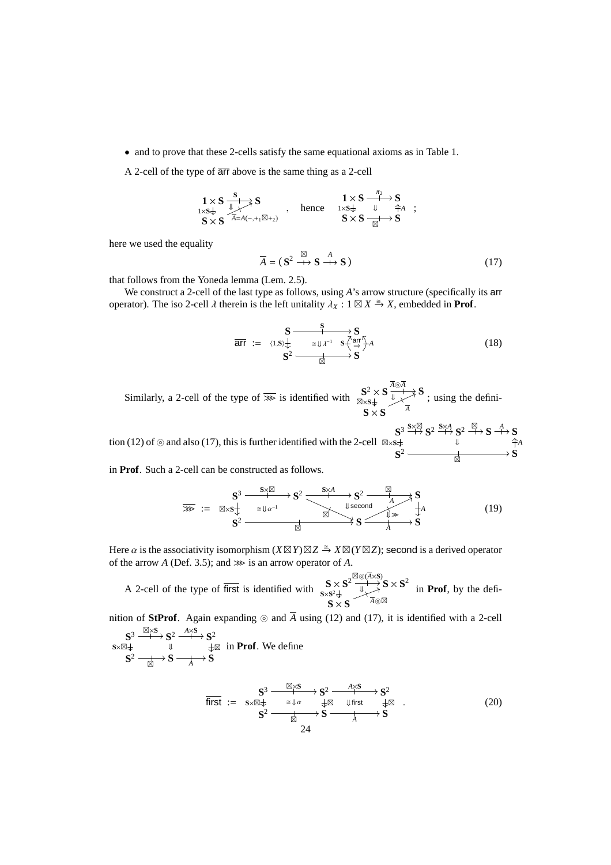• and to prove that these 2-cells satisfy the same equational axioms as in Table 1.

A 2-cell of the type of arr above is the same thing as a 2-cell

$$
\begin{array}{ccc} 1\times S \xrightarrow{\text{S}} & S \\ 1\times S\downarrow & \nearrow \\ S\times S & {}^{\overline{A}=A(-,+_1\boxtimes +_2)} \\ \end{array} \ , \quad \text{hence} \quad \begin{array}{ccc} & 1\times S \xrightarrow{\pi_2} S \\ 1\times S\downarrow & \downarrow \\ S\times S & \xrightarrow{\text{S}} \\ \end{array} \ ;
$$

here we used the equality

$$
\overline{A} = (\mathbf{S}^2 \xrightarrow{\boxtimes} \mathbf{S} \xrightarrow{A} \mathbf{S}) \tag{17}
$$

that follows from the Yoneda lemma (Lem. 2.5).

We construct a 2-cell of the last type as follows, using *A*'s arrow structure (specifically its arr operator). The iso 2-cell  $\lambda$  therein is the left unitality  $\lambda_X : 1 \boxtimes X \stackrel{\cong}{\to} X$ , embedded in **Prof**.

$$
\overline{\text{arr}} := \langle 1, S \rangle \downarrow \xrightarrow{\text{S}} \underline{\text{var}} \chi^{\text{Var}} \underline{\text{var}} \overline{\text{var}} A
$$
\n
$$
\underline{\text{S}^2} \longrightarrow \underline{\text{var}} \chi^{\text{Var}} \underline{\text{S}^2} \longrightarrow \text{S}
$$
\n
$$
(18)
$$

*A*

Similarly, a 2-cell of the type of  $\overline{\gg}$  is identified with  $\frac{S^2 \times S}{\mathbb{R} \times S^2}$ ⊠×**S** *A*⊚*A*  $\overline{w}$   $\rightarrow$   $S$  $S \times S$ <sup>A</sup> ; using the defini-

tion (12) of ⊚ and also (17), this is further identified with the 2-cell **S** 3 ⊠×**S S**×⊠  $\mathbf{S}^2 \stackrel{\mathbf{S} \times A}{\longrightarrow} \mathbf{S}^2 \stackrel{\boxtimes}{\longrightarrow} \mathbf{S} \stackrel{A}{\longrightarrow} \mathbf{S}$  $S^2 \longrightarrow$ 

in **Prof**. Such a 2-cell can be constructed as follows.

$$
\overline{\mathbf{S}}^3 \xrightarrow{\mathbf{S}^3 \xrightarrow{\mathbf{S} \times \mathbb{Z}} \mathbf{S}^2} \xrightarrow{\cong \mathbb{R} \times \mathbf{S}^1} \mathbf{S}^2 \xrightarrow{\mathbf{S} \times \mathbf{A} \xrightarrow{\mathbf{S}^2} \mathbf{S}^2} \mathbf{S}^3 \xrightarrow{\mathbb{R} \text{ second}} \mathbf{S}^4 \xrightarrow{\mathbf{S}^4} \mathbf{S}^4
$$
\n
$$
\mathbf{S}^2 \xrightarrow{\mathbb{R} \xrightarrow{\mathbf{S} \times \mathbf{A}} \mathbf{S}^2} \mathbf{S} \xrightarrow{\mathbb{R} \xrightarrow{\mathbf{S} \times \mathbf{A}} \mathbf{S}^4} \mathbf{S}^4 \tag{19}
$$

Here  $\alpha$  is the associativity isomorphism  $(X \boxtimes Y) \boxtimes Z \stackrel{\cong}{\to} X \boxtimes (Y \boxtimes Z)$ ; second is a derived operator of the arrow *A* (Def. 3.5); and  $\gg$  is an arrow operator of *A*.

A 2-cell of the type of first is identified with  $S \times S^2$  $S \times S^2$ ⊠⊚(*A*×**S**)  $\overrightarrow{y}$   $\rightarrow$  **S**  $\times$  **S**<sup>2</sup>  $\mathbf{S} \times \mathbf{S}$ <sup> $\overline{A} \circledcirc \mathbb{Z}$ </sup> in **Prof**, by the defi-

nition of **StProf**. Again expanding ⊚ and  $\overline{A}$  using (12) and (17), it is identified with a 2-cell  $S^3 \xrightarrow{\boxtimes \times S} S^2 \xrightarrow{A \times S} S^2$ 

$$
S^{\times} \xrightarrow{\sim} S^{\times} \xrightarrow{\Downarrow} S^{\times}
$$
  
\n
$$
S^2 \xrightarrow[\boxtimes]{} S^2 \xrightarrow[\text{A}]{\Downarrow} S^2
$$
 in Prof. We define

first := **S** 3 ⊠×**S S**×⊠ ⇓ α **S** 2 *A*×**S** ⊠ ⇓ first **S** 2 ⊠ **S** 2 ⊠ **S** *A* **S** . (20) 24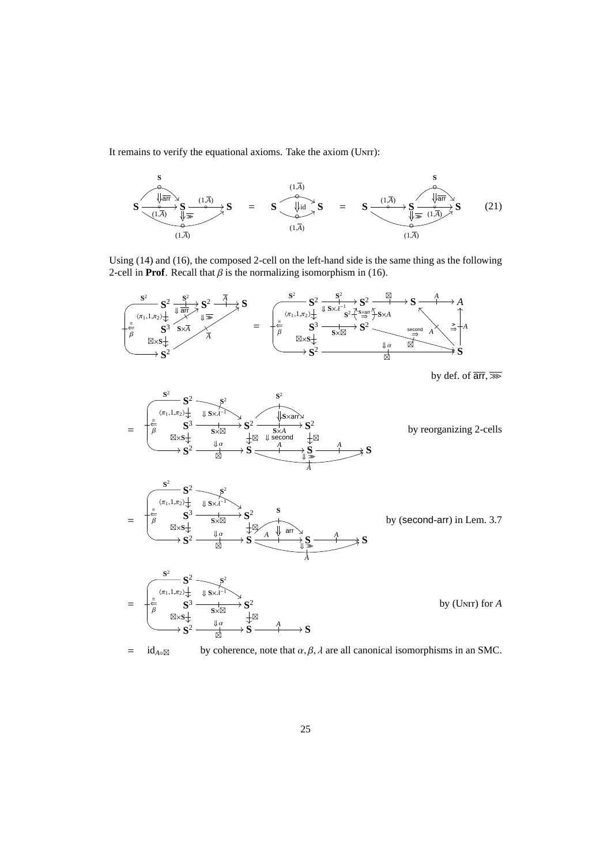It remains to verify the equational axioms. Take the axiom (UNIT):



Using (14) and (16), the composed 2-cell on the left-hand side is the same thing as the following 2-cell in **Prof**. Recall that  $\beta$  is the normalizing isomorphism in (16).



by def. of  $\overline{\text{arr}}, \overline{\text{def}}$ 





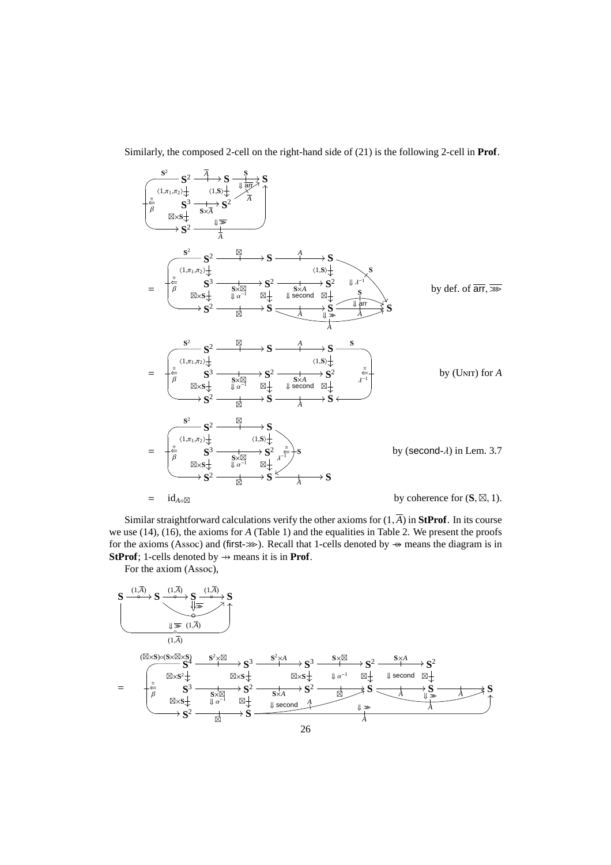Similarly, the composed 2-cell on the right-hand side of (21) is the following 2-cell in **Prof**.



Similar straightforward calculations verify the other axioms for  $(1, \overline{A})$  in **StProf**. In its course we use (14), (16), the axioms for *A* (Table 1) and the equalities in Table 2. We present the proofs for the axioms (Assoc) and (first->>>). Recall that 1-cells denoted by → means the diagram is in **StProf**; 1-cells denoted by  $\rightarrow$  means it is in **Prof**.

For the axiom (Assoc),

$$
S \xrightarrow{(1,\overline{A})} S \xrightarrow{(1,\overline{A})} S \xrightarrow{(1,\overline{A})} S
$$
\n
$$
\xrightarrow{(1,\overline{A})} S \xrightarrow{(1,\overline{A})} S
$$
\n
$$
\xrightarrow{(1,\overline{A})} S \xrightarrow{(1,\overline{A})} S^3 \xrightarrow{(1,\overline{A})} S^2 \xrightarrow{(1,\overline{A})} S^3 \xrightarrow{(1,\overline{A})} S^2 \xrightarrow{(1,\overline{A})} S^3 \xrightarrow{(1,\overline{A})} S^2 \xrightarrow{(1,\overline{A})} S^2 \xrightarrow{(1,\overline{A})} S^2 \xrightarrow{(1,\overline{A})} S^2 \xrightarrow{(1,\overline{A})} S^2 \xrightarrow{(1,\overline{A})} S^2 \xrightarrow{(1,\overline{A})} S^2 \xrightarrow{(1,\overline{A})} S^2 \xrightarrow{(1,\overline{A})} S^2 \xrightarrow{(1,\overline{A})} S \xrightarrow{(1,\overline{A})} S \xrightarrow{(1,\overline{A})} S \xrightarrow{(1,\overline{A})} S \xrightarrow{(1,\overline{A})} S \xrightarrow{(1,\overline{A})} S \xrightarrow{(1,\overline{A})} S \xrightarrow{(1,\overline{A})} S \xrightarrow{(1,\overline{A})} S \xrightarrow{(1,\overline{A})} S \xrightarrow{(1,\overline{A})} S \xrightarrow{(1,\overline{A})} S \xrightarrow{(1,\overline{A})} S \xrightarrow{(1,\overline{A})} S \xrightarrow{(1,\overline{A})} S \xrightarrow{(1,\overline{A})} S \xrightarrow{(1,\overline{A})} S \xrightarrow{(1,\overline{A})} S \xrightarrow{(1,\overline{A})} S \xrightarrow{(1,\overline{A})} S \xrightarrow{(1,\overline{A})} S^2 \xrightarrow{(1,\overline{A})} S^2 \xrightarrow{(1,\overline{A})} S^2 \xrightarrow{(1,\overline{A})} S^2 \xrightarrow{(1,\overline{A})} S^2 \xrightarrow{(1,\overline{A})} S^2 \xrightarrow{(1,\overline{A})} S^2 \xrightarrow{(1,\overline{A})} S^2 \xrightarrow{(1,\overline{A})} S^2 \xrightarrow{(1,\overline{A})} S^2 \xrightarrow{(1,\overline{A})} S^2 \xrightarrow{(1,\overline{A})} S^2 \xrightarrow{(1,\overline{A})}
$$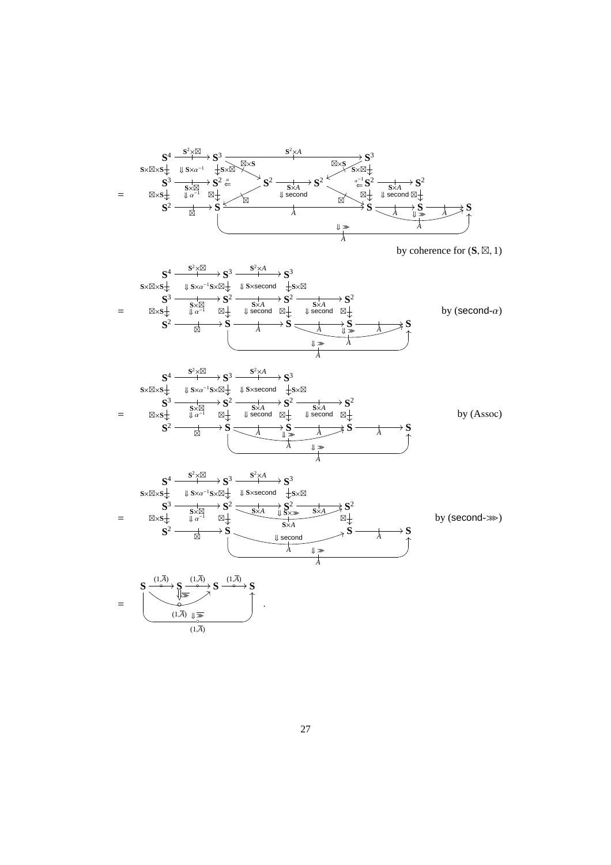

by coherence for (**S**, ⊠, 1)









by (second- $\gg$ )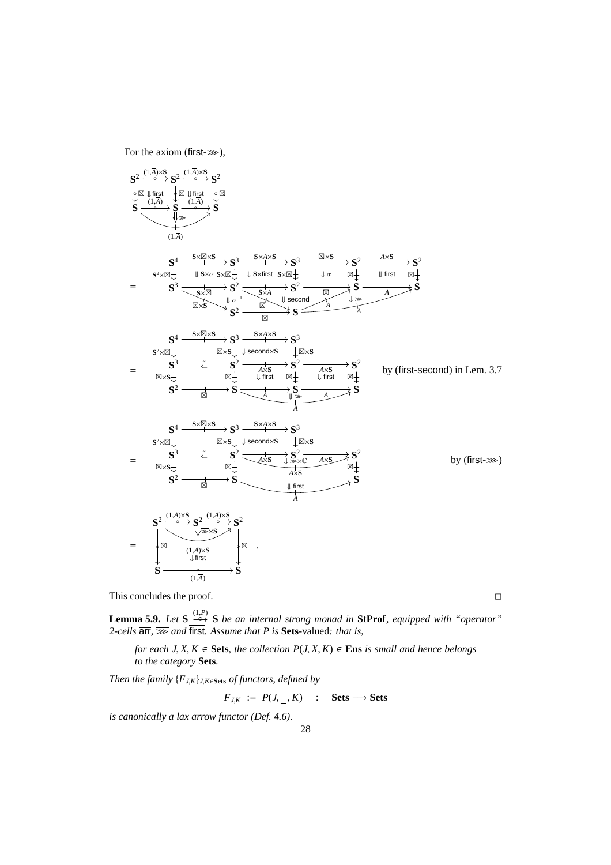For the axiom (first- $\gg$ ),



This concludes the proof.  $\Box$ 

**Lemma 5.9.** *Let*  $S \xrightarrow{(1,P)} S$  *be an internal strong monad in* **StProf***, equipped with "operator" 2-cells* arr*,* >>> *and* first*. Assume that P is* **Sets**-valued*: that is,*

*for each J, X, K*  $\in$  **Sets***, the collection P(J, X, K)*  $\in$  **Ens** *is small and hence belongs to the category* **Sets***.*

*Then the family* {*FJ*,*K*}*J*,*K*∈**Sets** *of functors, defined by*

 $F_{J,K}$  :=  $P(J, \_ , K)$  : **Sets** → **Sets** 

*is canonically a lax arrow functor (Def. 4.6).*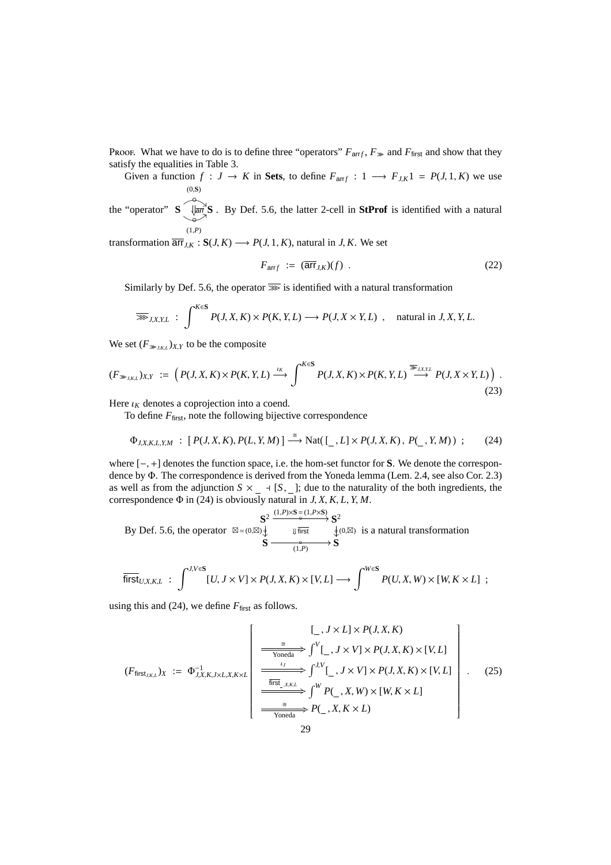Proof. What we have to do is to define three "operators"  $F_{\text{arrf}}$ ,  $F_{\text{max}}$  and  $F_{\text{first}}$  and show that they satisfy the equalities in Table 3.

Given a function  $f: J \to K$  in Sets, to define  $F_{\text{arr }f}: 1 \longrightarrow F_{J,K}1 = P(J, 1, K)$  we use ◦ (0,**S**)

the "operator" **S** ◦ (1,*P*)  $ar\{\mathbf{S} \cdot \mathbf{S}\}\$  . By Def. 5.6, the latter 2-cell in **StProf** is identified with a natural

transformation  $\overline{\mathsf{arr}}_{JK}$ :  $S(J, K) \longrightarrow P(J, 1, K)$ , natural in *J*, *K*. We set

$$
F_{\text{arr}f} := (\overline{\text{arr}}_{J,K})(f) \tag{22}
$$

Similarly by Def. 5.6, the operator  $\overline{\gg}$  is identified with a natural transformation

$$
\overline{\gg}_{J,X,Y,L} : \int^{K \in S} P(J,X,K) \times P(K,Y,L) \longrightarrow P(J,X \times Y,L) , \text{ natural in } J,X,Y,L.
$$

We set  $(F_{\gg j,K,L})_{X,Y}$  to be the composite

$$
(F_{\gg_{J,K,L}})_{X,Y} := \left(P(J,X,K) \times P(K,Y,L) \xrightarrow{\iota_K} \int^{K \in S} P(J,X,K) \times P(K,Y,L) \xrightarrow{\overline{\gg}_{J,X,Y,L}} P(J,X \times Y,L)\right). \tag{23}
$$

Here  $\iota_K$  denotes a coprojection into a coend.

To define  $F_{\text{first}}$ , note the following bijective correspondence

$$
\Phi_{J,X,K,L,Y,M} : [P(J,X,K), P(L,Y,M)] \xrightarrow{\cong} \text{Nat}([\_,L] \times P(J,X,K), P(\_,Y,M)) ; \qquad (24)
$$

where [−, +] denotes the function space, i.e. the hom-set functor for **S**. We denote the correspondence by Φ. The correspondence is derived from the Yoneda lemma (Lem. 2.4, see also Cor. 2.3) as well as from the adjunction  $S \times \underline{\ }$  + [*S*,  $\underline{\ }$ ]; due to the naturality of the both ingredients, the correspondence  $\Phi$  in (24) is obviously natural in *J*, *X*, *K*, *L*, *Y*, *M*.  $(1, P) \times \mathbf{S} = (1, P \times \mathbf{S})$ 

By Def. 5.6, the operator 
$$
\boxtimes = (0,\boxtimes)\oint_{\sqrt{\text{first}}} \frac{\text{S}^2}{\text{first}} \xrightarrow{\text{first}} \oint_{\sqrt{\text{t}}(0,\boxtimes)} \text{is a natural transformation}
$$
  

$$
\text{S} \xrightarrow{\bullet} \text{S}
$$

$$
\overline{\text{first}}_{U,X,K,L} : \int^{J,V \in \mathbf{S}} [U, J \times V] \times P(J,X,K) \times [V,L] \longrightarrow \int^{W \in \mathbf{S}} P(U,X,W) \times [W, K \times L] ;
$$

using this and (24), we define  $F_{\text{first}}$  as follows.

$$
(F_{\text{first}_{J,K,L}})_{X} := \Phi_{J,X,K,J \times L,X,K \times L}^{-1} \left[ \frac{\frac{1}{\text{Yoneda}} \int^{V} [J, J \times V] \times P(J, X, K) \times [V, L]}{\frac{I_{J}}{\text{first}_{J,K,L}} \int^{J,V} [J, J \times V] \times P(J, X, K) \times [V, L]} \right] \cdot (25)
$$
\n
$$
\xrightarrow{\text{first}_{J,K,L}} \int^{W} P(J, X, W) \times [W, K \times L] \times P(J, X, K) \times [V, L]
$$
\n
$$
\xrightarrow{\text{first}_{J,K,L}} P(J, X, K \times L)
$$
\n
$$
29
$$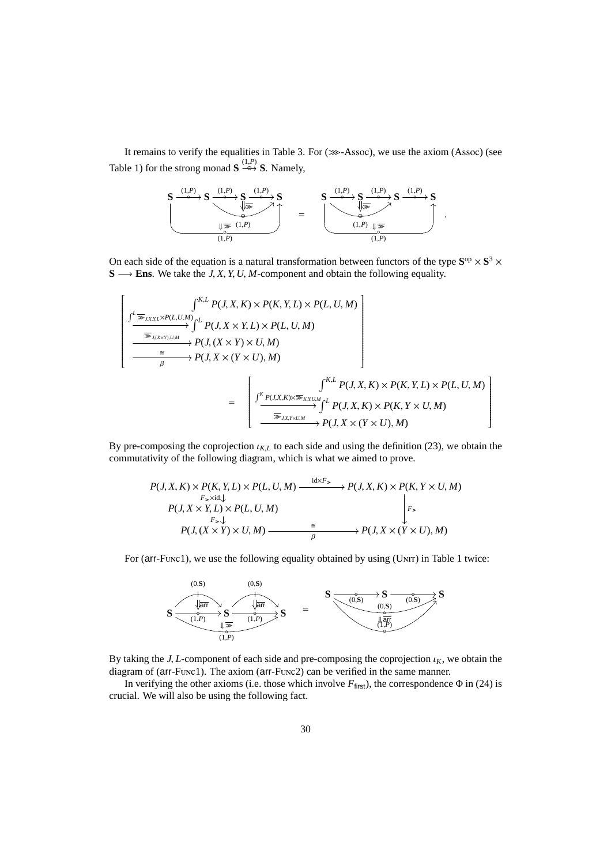It remains to verify the equalities in Table 3. For  $(\ggg-Assoc)$ , we use the axiom (Assoc) (see Table 1) for the strong monad  $S \stackrel{(1,P)}{\leftrightarrow} S$ . Namely,



On each side of the equation is a natural transformation between functors of the type  $S^{op} \times S^3$   $\times$  $S$  → **Ens**. We take the *J*, *X*, *Y*, *U*, *M*-component and obtain the following equality.

$$
\left[\n\begin{array}{c}\n\int_{K,L}^{K,L} P(J, X, K) \times P(K, Y, L) \times P(L, U, M) \\
\hline\n\end{array}\n\right]\n\left[\n\begin{array}{c}\n\frac{\sum_{k=1}^{K} P(J, X, K) \times P(K, Y, L) \times P(L, U, M)}{\sum_{k=1}^{K} P(J, X \times Y, L) \times P(L, U, M)} \\
\hline\n\end{array}\n\right]\n\left[\n\begin{array}{c}\n\frac{\sum_{k=1}^{K} P(J, X, X) \times P(K, Y, L) \times P(L, U, M)}{\sum_{k=1}^{K} P(J, X, K) \times P(K, Y, L) \times P(L, U, M)} \\
\hline\n\end{array}\n\right]\n\left[\n\begin{array}{c}\n\frac{\sum_{k=1}^{K} P(J, X, K) \times P(K, Y, L) \times P(L, U, M)}{\sum_{k=1}^{K} P(J, X, K) \times P(K, Y \times U, M)} \\
\hline\n\end{array}\n\right]
$$

By pre-composing the coprojection  $\iota_{KL}$  to each side and using the definition (23), we obtain the commutativity of the following diagram, which is what we aimed to prove.

$$
P(J, X, K) \times P(K, Y, L) \times P(L, U, M) \xrightarrow{\text{idx}F_{>}} P(J, X, K) \times P(K, Y \times U, M)
$$
  
\n
$$
P(J, X \times Y, L) \times P(L, U, M) \xrightarrow{F_{>}} P(J, X \times Y, L) \times P(L, U, M)
$$
  
\n
$$
P(J, (X \times Y) \times U, M) \xrightarrow{\cong} P(J, X \times (Y \times U), M)
$$

For ( $arr$ -Func1), we use the following equality obtained by using (UNIT) in Table 1 twice:



By taking the *J*, *L*-component of each side and pre-composing the coprojection  $\iota_K$ , we obtain the diagram of (arr-Func1). The axiom (arr-Func2) can be verified in the same manner.

In verifying the other axioms (i.e. those which involve  $F_{\text{first}}$ ), the correspondence  $\Phi$  in (24) is crucial. We will also be using the following fact.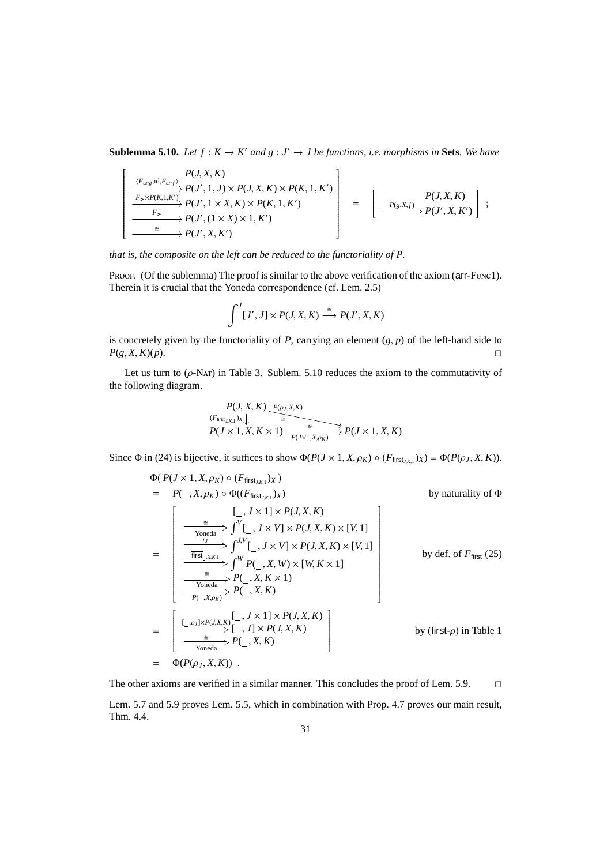**Sublemma 5.10.** *Let*  $f : K \to K'$  *and*  $g : J' \to J$  *be functions, i.e. morphisms in* **Sets***. We have* 

$$
\left[\begin{array}{c} P(J, X, K) \\ \xrightarrow{F_{\geq x}P(K, 1, K')} P(J', 1, J) \times P(J, X, K) \times P(K, 1, K') \\ \xrightarrow{F_{\geq x}P(K, 1, K')} P(J', 1 \times X, K) \times P(K, 1, K') \\ \xrightarrow{F_{\geq x}P(J', 1 \times X) \times 1, K')} P(J', X, K') \\ \xrightarrow{\cong} P(J', X, K') \end{array}\right] = \left[\begin{array}{c} P(J, X, K) \\ \xrightarrow{F(S, X, f)} P(J', X, K') \\ \xrightarrow{\cong} P(J', X, K') \end{array}\right];
$$

*that is, the composite on the left can be reduced to the functoriality of P.*

Proof. (Of the sublemma) The proof is similar to the above verification of the axiom (arr-Func1). Therein it is crucial that the Yoneda correspondence (cf. Lem. 2.5)

$$
\int^J [J', J] \times P(J, X, K) \xrightarrow{\cong} P(J', X, K)
$$

is concretely given by the functoriality of *P*, carrying an element (*g*, *p*) of the left-hand side to  $P(g, X, K)(p).$ 

Let us turn to  $(\rho$ -Nat) in Table 3. Sublem. 5.10 reduces the axiom to the commutativity of the following diagram.

$$
P(J, X, K) \xrightarrow{P(\rho_J, X, K)}
$$
  
\n
$$
P(J \times 1, X, K \times 1) \xrightarrow{a} P(J \times 1, X, K)
$$

Since  $\Phi$  in (24) is bijective, it suffices to show  $\Phi(P(J \times 1, X, \rho_K) \circ (F_{\text{first}_{J,K,l}})_X) = \Phi(P(\rho_J, X, K)).$ 

$$
\Phi(P(J \times 1, X, \rho_K) \circ (F_{\text{first}_{J,K,1}})_{X})
$$
\n
$$
= P(\_, X, \rho_K) \circ \Phi((F_{\text{first}_{J,K,1}})_{X})
$$
\nby naturality of  $\Phi$   
\nby naturality of  $\Phi$   
\n
$$
\begin{bmatrix}\n\frac{1}{\sqrt{X}} & \frac{1}{X} & \frac{1}{X} & \frac{1}{X} & \frac{1}{X} & \frac{1}{X} & \frac{1}{X} \\
\frac{1}{\sqrt{Y}} & \frac{1}{X} & \frac{1}{X} & \frac{1}{X} & \frac{1}{X} & \frac{1}{X} & \frac{1}{X} & \frac{1}{X} \\
\frac{1}{\sqrt{Y}} & \frac{1}{X} & \frac{1}{X} & \frac{1}{X} & \frac{1}{X} & \frac{1}{X} & \frac{1}{X} \\
\frac{1}{\sqrt{Y}} & \frac{1}{X} & \frac{1}{X} & \frac{1}{X} & \frac{1}{X} & \frac{1}{X} \\
\frac{1}{\sqrt{Y}} & \frac{1}{X} & \frac{1}{X} & \frac{1}{X} & \frac{1}{X} & \frac{1}{X} \\
\frac{1}{\sqrt{Y}} & \frac{1}{X} & \frac{1}{X} & \frac{1}{X} & \frac{1}{X} & \frac{1}{X} & \frac{1}{X} \\
\frac{1}{\sqrt{Y}} & \frac{1}{X} & \frac{1}{X} & \frac{1}{X} & \frac{1}{X} & \frac{1}{X} & \frac{1}{X} \\
\frac{1}{\sqrt{Y}} & \frac{1}{X} & \frac{1}{X} & \frac{1}{X} & \frac{1}{X} & \frac{1}{X} & \frac{1}{X} \\
\frac{1}{\sqrt{Y}} & \frac{1}{X} & \frac{1}{X} & \frac{1}{X} & \frac{1}{X} & \frac{1}{X} \\
\frac{1}{\sqrt{Y}} & \frac{1}{X} &
$$

The other axioms are verified in a similar manner. This concludes the proof of Lem. 5.9.  $\Box$ 

Lem. 5.7 and 5.9 proves Lem. 5.5, which in combination with Prop. 4.7 proves our main result, Thm. 4.4.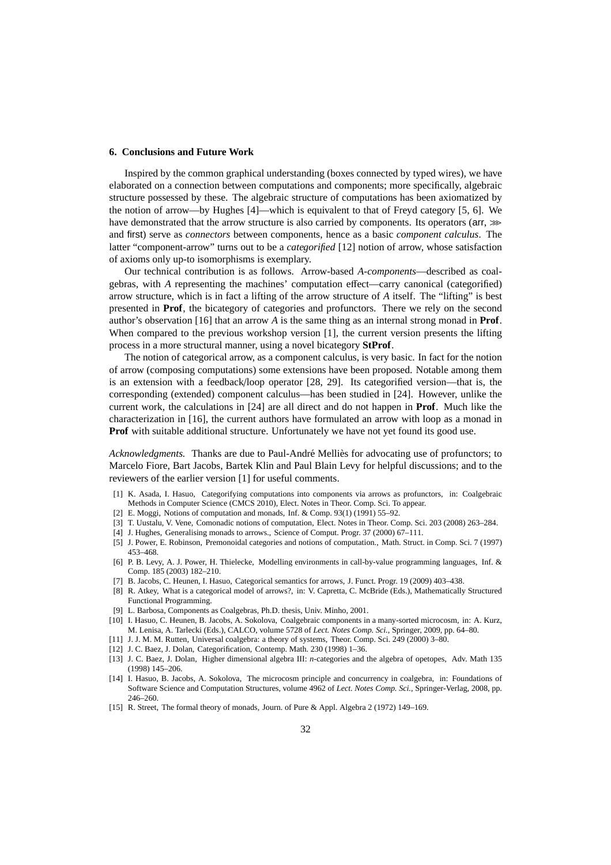## **6. Conclusions and Future Work**

Inspired by the common graphical understanding (boxes connected by typed wires), we have elaborated on a connection between computations and components; more specifically, algebraic structure possessed by these. The algebraic structure of computations has been axiomatized by the notion of arrow—by Hughes [4]—which is equivalent to that of Freyd category [5, 6]. We have demonstrated that the arrow structure is also carried by components. Its operators ( $arr, \gg$ ) and first) serve as *connectors* between components, hence as a basic *component calculus*. The latter "component-arrow" turns out to be a *categorified* [12] notion of arrow, whose satisfaction of axioms only up-to isomorphisms is exemplary.

Our technical contribution is as follows. Arrow-based *A-components*—described as coalgebras, with *A* representing the machines' computation effect—carry canonical (categorified) arrow structure, which is in fact a lifting of the arrow structure of *A* itself. The "lifting" is best presented in **Prof**, the bicategory of categories and profunctors. There we rely on the second author's observation [16] that an arrow *A* is the same thing as an internal strong monad in **Prof**. When compared to the previous workshop version [1], the current version presents the lifting process in a more structural manner, using a novel bicategory **StProf**.

The notion of categorical arrow, as a component calculus, is very basic. In fact for the notion of arrow (composing computations) some extensions have been proposed. Notable among them is an extension with a feedback/loop operator [28, 29]. Its categorified version—that is, the corresponding (extended) component calculus—has been studied in [24]. However, unlike the current work, the calculations in [24] are all direct and do not happen in **Prof**. Much like the characterization in [16], the current authors have formulated an arrow with loop as a monad in **Prof** with suitable additional structure. Unfortunately we have not yet found its good use.

Acknowledgments. Thanks are due to Paul-André Melliès for advocating use of profunctors; to Marcelo Fiore, Bart Jacobs, Bartek Klin and Paul Blain Levy for helpful discussions; and to the reviewers of the earlier version [1] for useful comments.

- [1] K. Asada, I. Hasuo, Categorifying computations into components via arrows as profunctors, in: Coalgebraic Methods in Computer Science (CMCS 2010), Elect. Notes in Theor. Comp. Sci. To appear.
- [2] E. Moggi, Notions of computation and monads, Inf. & Comp. 93(1) (1991) 55–92.
- [3] T. Uustalu, V. Vene, Comonadic notions of computation, Elect. Notes in Theor. Comp. Sci. 203 (2008) 263–284.
- [4] J. Hughes, Generalising monads to arrows., Science of Comput. Progr. 37 (2000) 67–111.
- [5] J. Power, E. Robinson, Premonoidal categories and notions of computation., Math. Struct. in Comp. Sci. 7 (1997) 453–468.
- [6] P. B. Levy, A. J. Power, H. Thielecke, Modelling environments in call-by-value programming languages, Inf. & Comp. 185 (2003) 182–210.
- [7] B. Jacobs, C. Heunen, I. Hasuo, Categorical semantics for arrows, J. Funct. Progr. 19 (2009) 403–438.
- [8] R. Atkey, What is a categorical model of arrows?, in: V. Capretta, C. McBride (Eds.), Mathematically Structured Functional Programming.
- [9] L. Barbosa, Components as Coalgebras, Ph.D. thesis, Univ. Minho, 2001.
- [10] I. Hasuo, C. Heunen, B. Jacobs, A. Sokolova, Coalgebraic components in a many-sorted microcosm, in: A. Kurz, M. Lenisa, A. Tarlecki (Eds.), CALCO, volume 5728 of *Lect. Notes Comp. Sci.*, Springer, 2009, pp. 64–80.
- [11] J. J. M. M. Rutten, Universal coalgebra: a theory of systems, Theor. Comp. Sci. 249 (2000) 3–80.
- [12] J. C. Baez, J. Dolan, Categorification, Contemp. Math. 230 (1998) 1–36.
- [13] J. C. Baez, J. Dolan, Higher dimensional algebra III: *n*-categories and the algebra of opetopes, Adv. Math 135 (1998) 145–206.
- [14] I. Hasuo, B. Jacobs, A. Sokolova, The microcosm principle and concurrency in coalgebra, in: Foundations of Software Science and Computation Structures, volume 4962 of *Lect. Notes Comp. Sci.*, Springer-Verlag, 2008, pp. 246–260.
- [15] R. Street, The formal theory of monads, Journ. of Pure & Appl. Algebra 2 (1972) 149–169.